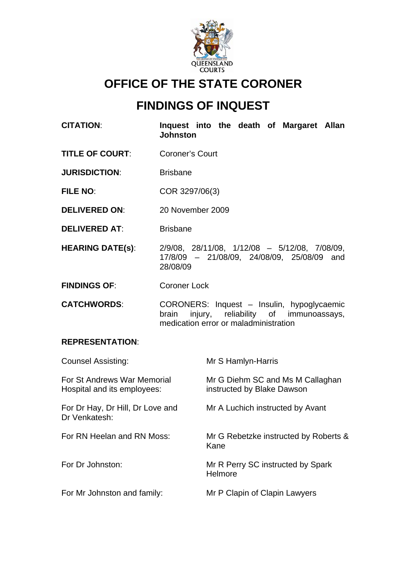

# **OFFICE OF THE STATE CORONER**

# **FINDINGS OF INQUEST**

**CITATION**: **Inquest into the death of Margaret Allan Johnston** 

**TITLE OF COURT:** Coroner's Court

**JURISDICTION:** Brisbane

**FILE NO**: COR 3297/06(3)

- **DELIVERED ON**: 20 November 2009
- **DELIVERED AT:** Brisbane
- **HEARING DATE(s)**: 2/9/08, 28/11/08, 1/12/08 5/12/08, 7/08/09, 17/8/09 – 21/08/09, 24/08/09, 25/08/09 and 28/08/09
- **FINDINGS OF**: Coroner Lock
- **CATCHWORDS**: CORONERS: Inquest Insulin, hypoglycaemic brain injury, reliability of immunoassays, medication error or maladministration

## **REPRESENTATION**:

| <b>Counsel Assisting:</b>                                  | Mr S Hamlyn-Harris                                             |
|------------------------------------------------------------|----------------------------------------------------------------|
| For St Andrews War Memorial<br>Hospital and its employees: | Mr G Diehm SC and Ms M Callaghan<br>instructed by Blake Dawson |
| For Dr Hay, Dr Hill, Dr Love and<br>Dr Venkatesh:          | Mr A Luchich instructed by Avant                               |
| For RN Heelan and RN Moss:                                 | Mr G Rebetzke instructed by Roberts &<br>Kane                  |
| For Dr Johnston:                                           | Mr R Perry SC instructed by Spark<br>Helmore                   |
| For Mr Johnston and family:                                | Mr P Clapin of Clapin Lawyers                                  |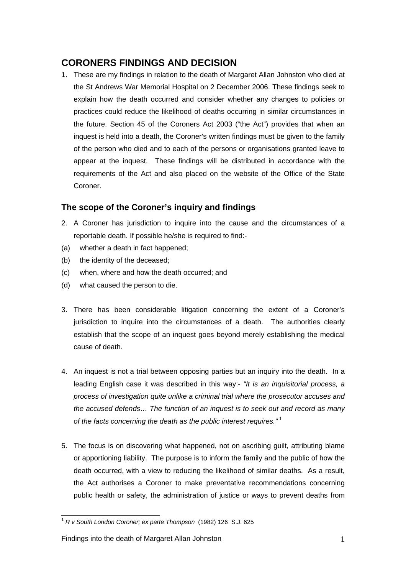## **CORONERS FINDINGS AND DECISION**

1. These are my findings in relation to the death of Margaret Allan Johnston who died at the St Andrews War Memorial Hospital on 2 December 2006. These findings seek to explain how the death occurred and consider whether any changes to policies or practices could reduce the likelihood of deaths occurring in similar circumstances in the future. Section 45 of the Coroners Act 2003 ("the Act") provides that when an inquest is held into a death, the Coroner's written findings must be given to the family of the person who died and to each of the persons or organisations granted leave to appear at the inquest. These findings will be distributed in accordance with the requirements of the Act and also placed on the website of the Office of the State Coroner.

## **The scope of the Coroner's inquiry and findings**

- 2. A Coroner has jurisdiction to inquire into the cause and the circumstances of a reportable death. If possible he/she is required to find:-
- (a) whether a death in fact happened;
- (b) the identity of the deceased;
- (c) when, where and how the death occurred; and
- (d) what caused the person to die.
- 3. There has been considerable litigation concerning the extent of a Coroner's jurisdiction to inquire into the circumstances of a death. The authorities clearly establish that the scope of an inquest goes beyond merely establishing the medical cause of death.
- 4. An inquest is not a trial between opposing parties but an inquiry into the death. In a leading English case it was described in this way:- *"It is an inquisitorial process, a process of investigation quite unlike a criminal trial where the prosecutor accuses and the accused defends… The function of an inquest is to seek out and record as many of the facts concerning the death as the public interest requires."* [1](#page-1-0)
- 5. The focus is on discovering what happened, not on ascribing guilt, attributing blame or apportioning liability. The purpose is to inform the family and the public of how the death occurred, with a view to reducing the likelihood of similar deaths. As a result, the Act authorises a Coroner to make preventative recommendations concerning public health or safety, the administration of justice or ways to prevent deaths from

<span id="page-1-0"></span> $\overline{\phantom{a}}$ <sup>1</sup> *R v South London Coroner; ex parte Thompson* (1982) 126 S.J. 625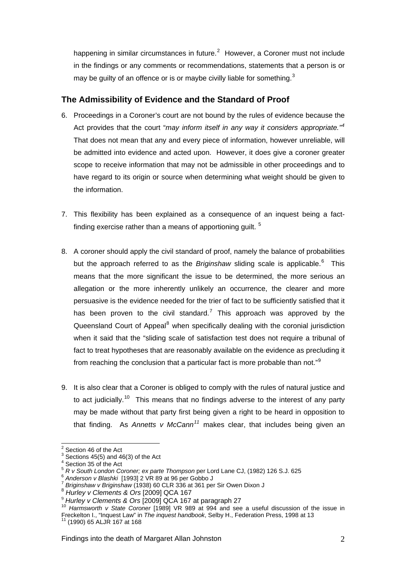happening in similar circumstances in future.<sup>[2](#page-2-0)</sup> However, a Coroner must not include in the findings or any comments or recommendations, statements that a person is or may be guilty of an offence or is or maybe civilly liable for something.<sup>[3](#page-2-1)</sup>

## **The Admissibility of Evidence and the Standard of Proof**

- 6. Proceedings in a Coroner's court are not bound by the rules of evidence because the Act provides that the court "may inform itself in any way it considers appropriate."<sup>[4](#page-2-2)</sup> That does not mean that any and every piece of information, however unreliable, will be admitted into evidence and acted upon. However, it does give a coroner greater scope to receive information that may not be admissible in other proceedings and to have regard to its origin or source when determining what weight should be given to the information.
- 7. This flexibility has been explained as a consequence of an inquest being a factfinding exercise rather than a means of apportioning guilt.  $5$
- 8. A coroner should apply the civil standard of proof, namely the balance of probabilities but the approach referred to as the *Briginshaw* sliding scale is applicable.<sup>[6](#page-2-4)</sup> This means that the more significant the issue to be determined, the more serious an allegation or the more inherently unlikely an occurrence, the clearer and more persuasive is the evidence needed for the trier of fact to be sufficiently satisfied that it has been proven to the civil standard.<sup>[7](#page-2-5)</sup> This approach was approved by the Queensland Court of Appeal<sup>[8](#page-2-6)</sup> when specifically dealing with the coronial jurisdiction when it said that the "sliding scale of satisfaction test does not require a tribunal of fact to treat hypotheses that are reasonably available on the evidence as precluding it from reaching the conclusion that a particular fact is more probable than not."[9](#page-2-7)
- 9. It is also clear that a Coroner is obliged to comply with the rules of natural justice and to act judicially.<sup>[10](#page-2-8)</sup> This means that no findings adverse to the interest of any party may be made without that party first being given a right to be heard in opposition to that finding. As *Annetts v McCann[11](#page-2-9)* makes clear, that includes being given an

<sup>&</sup>lt;sup>2</sup> Section 46 of the Act

<span id="page-2-1"></span><span id="page-2-0"></span> $3^3$  Sections 45(5) and 46(3) of the Act

<span id="page-2-2"></span><sup>&</sup>lt;sup>4</sup> Section 35 of the Act  $\sim$  6 Ferry of the Thompson per Lord Lane CJ, (1982) 126 S.J. 625

<span id="page-2-5"></span>

<span id="page-2-6"></span>

<span id="page-2-8"></span><span id="page-2-7"></span>

<span id="page-2-4"></span><span id="page-2-3"></span><sup>&</sup>lt;sup>6</sup> Anderson v Blashki [1993] 2 VR 89 at 96 per Gobbo J<br>
<sup>7</sup> Briginshaw v Briginshaw (1938) 60 CLR 336 at 361 per Sir Owen Dixon J<br>
<sup>8</sup> Hurley v Clements & Ors [2009] QCA 167<br>
<sup>9</sup> Hurley v Clements & Ors [2009] QCA 167 at Freckelton I., "Inquest Law" in *The inquest handbook*, Selby H., Federation Press, 1998 at 13<br><sup>11</sup> (1990) 65 ALJR 167 at 168

<span id="page-2-9"></span>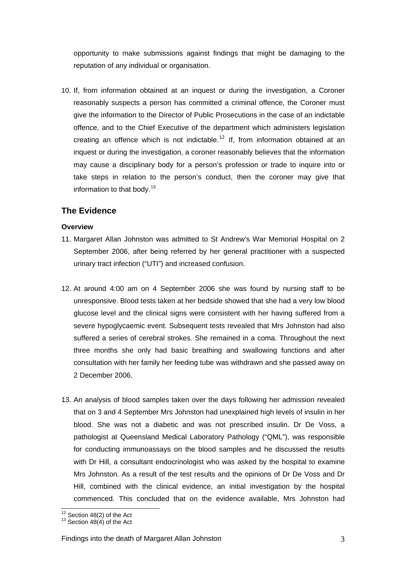opportunity to make submissions against findings that might be damaging to the reputation of any individual or organisation.

10. If, from information obtained at an inquest or during the investigation, a Coroner reasonably suspects a person has committed a criminal offence, the Coroner must give the information to the Director of Public Prosecutions in the case of an indictable offence, and to the Chief Executive of the department which administers legislation creating an offence which is not indictable.<sup>[12](#page-3-0)</sup> If, from information obtained at an inquest or during the investigation, a coroner reasonably believes that the information may cause a disciplinary body for a person's profession or trade to inquire into or take steps in relation to the person's conduct, then the coroner may give that information to that body.<sup>[13](#page-3-1)</sup>

## **The Evidence**

## **Overview**

- 11. Margaret Allan Johnston was admitted to St Andrew's War Memorial Hospital on 2 September 2006, after being referred by her general practitioner with a suspected urinary tract infection ("UTI") and increased confusion.
- 12. At around 4:00 am on 4 September 2006 she was found by nursing staff to be unresponsive. Blood tests taken at her bedside showed that she had a very low blood glucose level and the clinical signs were consistent with her having suffered from a severe hypoglycaemic event. Subsequent tests revealed that Mrs Johnston had also suffered a series of cerebral strokes. She remained in a coma. Throughout the next three months she only had basic breathing and swallowing functions and after consultation with her family her feeding tube was withdrawn and she passed away on 2 December 2006.
- 13. An analysis of blood samples taken over the days following her admission revealed that on 3 and 4 September Mrs Johnston had unexplained high levels of insulin in her blood. She was not a diabetic and was not prescribed insulin. Dr De Voss, a pathologist at Queensland Medical Laboratory Pathology ("QML"), was responsible for conducting immunoassays on the blood samples and he discussed the results with Dr Hill, a consultant endocrinologist who was asked by the hospital to examine Mrs Johnston. As a result of the test results and the opinions of Dr De Voss and Dr Hill, combined with the clinical evidence, an initial investigation by the hospital commenced. This concluded that on the evidence available, Mrs Johnston had

 $\overline{a}$ 

<span id="page-3-1"></span><span id="page-3-0"></span> $12$  Section 48(2) of the Act  $13$  Section 48(4) of the Act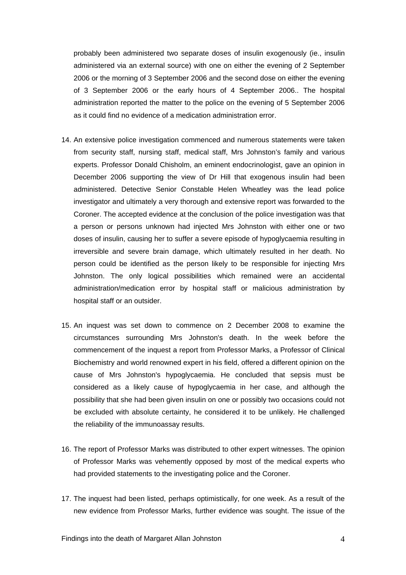probably been administered two separate doses of insulin exogenously (ie., insulin administered via an external source) with one on either the evening of 2 September 2006 or the morning of 3 September 2006 and the second dose on either the evening of 3 September 2006 or the early hours of 4 September 2006.. The hospital administration reported the matter to the police on the evening of 5 September 2006 as it could find no evidence of a medication administration error.

- 14. An extensive police investigation commenced and numerous statements were taken from security staff, nursing staff, medical staff, Mrs Johnston's family and various experts. Professor Donald Chisholm, an eminent endocrinologist, gave an opinion in December 2006 supporting the view of Dr Hill that exogenous insulin had been administered. Detective Senior Constable Helen Wheatley was the lead police investigator and ultimately a very thorough and extensive report was forwarded to the Coroner. The accepted evidence at the conclusion of the police investigation was that a person or persons unknown had injected Mrs Johnston with either one or two doses of insulin, causing her to suffer a severe episode of hypoglycaemia resulting in irreversible and severe brain damage, which ultimately resulted in her death. No person could be identified as the person likely to be responsible for injecting Mrs Johnston. The only logical possibilities which remained were an accidental administration/medication error by hospital staff or malicious administration by hospital staff or an outsider.
- 15. An inquest was set down to commence on 2 December 2008 to examine the circumstances surrounding Mrs Johnston's death. In the week before the commencement of the inquest a report from Professor Marks, a Professor of Clinical Biochemistry and world renowned expert in his field, offered a different opinion on the cause of Mrs Johnston's hypoglycaemia. He concluded that sepsis must be considered as a likely cause of hypoglycaemia in her case, and although the possibility that she had been given insulin on one or possibly two occasions could not be excluded with absolute certainty, he considered it to be unlikely. He challenged the reliability of the immunoassay results.
- 16. The report of Professor Marks was distributed to other expert witnesses. The opinion of Professor Marks was vehemently opposed by most of the medical experts who had provided statements to the investigating police and the Coroner.
- 17. The inquest had been listed, perhaps optimistically, for one week. As a result of the new evidence from Professor Marks, further evidence was sought. The issue of the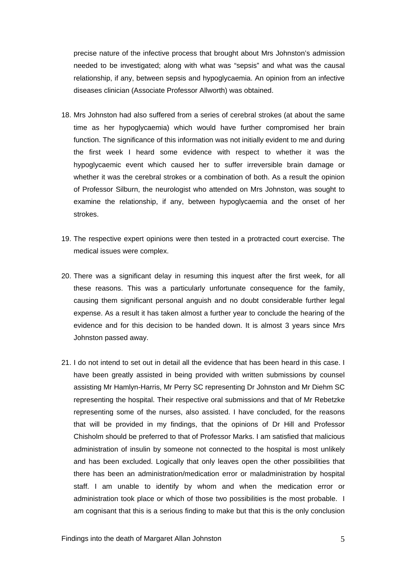precise nature of the infective process that brought about Mrs Johnston's admission needed to be investigated; along with what was "sepsis" and what was the causal relationship, if any, between sepsis and hypoglycaemia. An opinion from an infective diseases clinician (Associate Professor Allworth) was obtained.

- 18. Mrs Johnston had also suffered from a series of cerebral strokes (at about the same time as her hypoglycaemia) which would have further compromised her brain function. The significance of this information was not initially evident to me and during the first week I heard some evidence with respect to whether it was the hypoglycaemic event which caused her to suffer irreversible brain damage or whether it was the cerebral strokes or a combination of both. As a result the opinion of Professor Silburn, the neurologist who attended on Mrs Johnston, was sought to examine the relationship, if any, between hypoglycaemia and the onset of her strokes.
- 19. The respective expert opinions were then tested in a protracted court exercise. The medical issues were complex.
- 20. There was a significant delay in resuming this inquest after the first week, for all these reasons. This was a particularly unfortunate consequence for the family, causing them significant personal anguish and no doubt considerable further legal expense. As a result it has taken almost a further year to conclude the hearing of the evidence and for this decision to be handed down. It is almost 3 years since Mrs Johnston passed away.
- 21. I do not intend to set out in detail all the evidence that has been heard in this case. I have been greatly assisted in being provided with written submissions by counsel assisting Mr Hamlyn-Harris, Mr Perry SC representing Dr Johnston and Mr Diehm SC representing the hospital. Their respective oral submissions and that of Mr Rebetzke representing some of the nurses, also assisted. I have concluded, for the reasons that will be provided in my findings, that the opinions of Dr Hill and Professor Chisholm should be preferred to that of Professor Marks. I am satisfied that malicious administration of insulin by someone not connected to the hospital is most unlikely and has been excluded. Logically that only leaves open the other possibilities that there has been an administration/medication error or maladministration by hospital staff. I am unable to identify by whom and when the medication error or administration took place or which of those two possibilities is the most probable. I am cognisant that this is a serious finding to make but that this is the only conclusion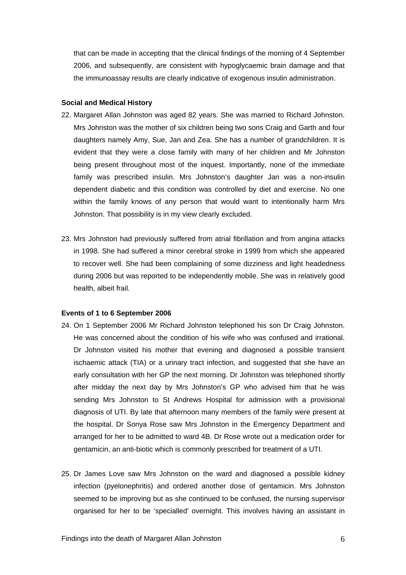that can be made in accepting that the clinical findings of the morning of 4 September 2006, and subsequently, are consistent with hypoglycaemic brain damage and that the immunoassay results are clearly indicative of exogenous insulin administration.

#### **Social and Medical History**

- 22. Margaret Allan Johnston was aged 82 years. She was married to Richard Johnston. Mrs Johnston was the mother of six children being two sons Craig and Garth and four daughters namely Amy, Sue, Jan and Zea. She has a number of grandchildren. It is evident that they were a close family with many of her children and Mr Johnston being present throughout most of the inquest. Importantly, none of the immediate family was prescribed insulin. Mrs Johnston's daughter Jan was a non-insulin dependent diabetic and this condition was controlled by diet and exercise. No one within the family knows of any person that would want to intentionally harm Mrs Johnston. That possibility is in my view clearly excluded.
- 23. Mrs Johnston had previously suffered from atrial fibrillation and from angina attacks in 1998. She had suffered a minor cerebral stroke in 1999 from which she appeared to recover well. She had been complaining of some dizziness and light headedness during 2006 but was reported to be independently mobile. She was in relatively good health, albeit frail.

#### **Events of 1 to 6 September 2006**

- 24. On 1 September 2006 Mr Richard Johnston telephoned his son Dr Craig Johnston. He was concerned about the condition of his wife who was confused and irrational. Dr Johnston visited his mother that evening and diagnosed a possible transient ischaemic attack (TIA) or a urinary tract infection, and suggested that she have an early consultation with her GP the next morning. Dr Johnston was telephoned shortly after midday the next day by Mrs Johnston's GP who advised him that he was sending Mrs Johnston to St Andrews Hospital for admission with a provisional diagnosis of UTI. By late that afternoon many members of the family were present at the hospital. Dr Sonya Rose saw Mrs Johnston in the Emergency Department and arranged for her to be admitted to ward 4B. Dr Rose wrote out a medication order for gentamicin, an anti-biotic which is commonly prescribed for treatment of a UTI.
- 25. Dr James Love saw Mrs Johnston on the ward and diagnosed a possible kidney infection (pyelonephritis) and ordered another dose of gentamicin. Mrs Johnston seemed to be improving but as she continued to be confused, the nursing supervisor organised for her to be 'specialled' overnight. This involves having an assistant in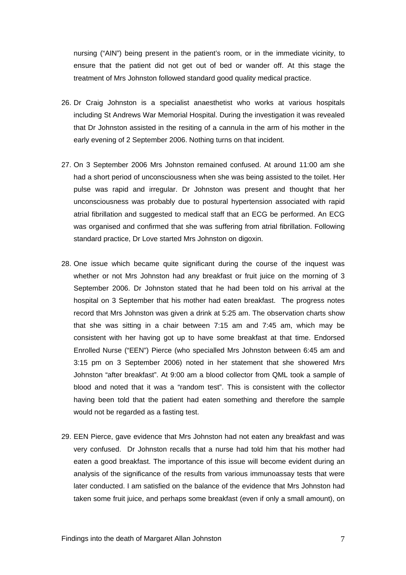nursing ("AIN") being present in the patient's room, or in the immediate vicinity, to ensure that the patient did not get out of bed or wander off. At this stage the treatment of Mrs Johnston followed standard good quality medical practice.

- 26. Dr Craig Johnston is a specialist anaesthetist who works at various hospitals including St Andrews War Memorial Hospital. During the investigation it was revealed that Dr Johnston assisted in the resiting of a cannula in the arm of his mother in the early evening of 2 September 2006. Nothing turns on that incident.
- 27. On 3 September 2006 Mrs Johnston remained confused. At around 11:00 am she had a short period of unconsciousness when she was being assisted to the toilet. Her pulse was rapid and irregular. Dr Johnston was present and thought that her unconsciousness was probably due to postural hypertension associated with rapid atrial fibrillation and suggested to medical staff that an ECG be performed. An ECG was organised and confirmed that she was suffering from atrial fibrillation. Following standard practice, Dr Love started Mrs Johnston on digoxin.
- 28. One issue which became quite significant during the course of the inquest was whether or not Mrs Johnston had any breakfast or fruit juice on the morning of 3 September 2006. Dr Johnston stated that he had been told on his arrival at the hospital on 3 September that his mother had eaten breakfast. The progress notes record that Mrs Johnston was given a drink at 5:25 am. The observation charts show that she was sitting in a chair between 7:15 am and 7:45 am, which may be consistent with her having got up to have some breakfast at that time. Endorsed Enrolled Nurse ("EEN") Pierce (who specialled Mrs Johnston between 6:45 am and 3:15 pm on 3 September 2006) noted in her statement that she showered Mrs Johnston "after breakfast". At 9:00 am a blood collector from QML took a sample of blood and noted that it was a "random test". This is consistent with the collector having been told that the patient had eaten something and therefore the sample would not be regarded as a fasting test.
- 29. EEN Pierce, gave evidence that Mrs Johnston had not eaten any breakfast and was very confused. Dr Johnston recalls that a nurse had told him that his mother had eaten a good breakfast. The importance of this issue will become evident during an analysis of the significance of the results from various immunoassay tests that were later conducted. I am satisfied on the balance of the evidence that Mrs Johnston had taken some fruit juice, and perhaps some breakfast (even if only a small amount), on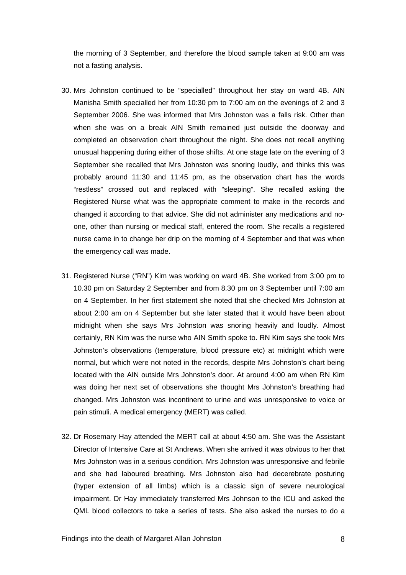the morning of 3 September, and therefore the blood sample taken at 9:00 am was not a fasting analysis.

- 30. Mrs Johnston continued to be "specialled" throughout her stay on ward 4B. AIN Manisha Smith specialled her from 10:30 pm to 7:00 am on the evenings of 2 and 3 September 2006. She was informed that Mrs Johnston was a falls risk. Other than when she was on a break AIN Smith remained just outside the doorway and completed an observation chart throughout the night. She does not recall anything unusual happening during either of those shifts. At one stage late on the evening of 3 September she recalled that Mrs Johnston was snoring loudly, and thinks this was probably around 11:30 and 11:45 pm, as the observation chart has the words "restless" crossed out and replaced with "sleeping". She recalled asking the Registered Nurse what was the appropriate comment to make in the records and changed it according to that advice. She did not administer any medications and noone, other than nursing or medical staff, entered the room. She recalls a registered nurse came in to change her drip on the morning of 4 September and that was when the emergency call was made.
- 31. Registered Nurse ("RN") Kim was working on ward 4B. She worked from 3:00 pm to 10.30 pm on Saturday 2 September and from 8.30 pm on 3 September until 7:00 am on 4 September. In her first statement she noted that she checked Mrs Johnston at about 2:00 am on 4 September but she later stated that it would have been about midnight when she says Mrs Johnston was snoring heavily and loudly. Almost certainly, RN Kim was the nurse who AIN Smith spoke to. RN Kim says she took Mrs Johnston's observations (temperature, blood pressure etc) at midnight which were normal, but which were not noted in the records, despite Mrs Johnston's chart being located with the AIN outside Mrs Johnston's door. At around 4:00 am when RN Kim was doing her next set of observations she thought Mrs Johnston's breathing had changed. Mrs Johnston was incontinent to urine and was unresponsive to voice or pain stimuli. A medical emergency (MERT) was called.
- 32. Dr Rosemary Hay attended the MERT call at about 4:50 am. She was the Assistant Director of Intensive Care at St Andrews. When she arrived it was obvious to her that Mrs Johnston was in a serious condition. Mrs Johnston was unresponsive and febrile and she had laboured breathing. Mrs Johnston also had decerebrate posturing (hyper extension of all limbs) which is a classic sign of severe neurological impairment. Dr Hay immediately transferred Mrs Johnson to the ICU and asked the QML blood collectors to take a series of tests. She also asked the nurses to do a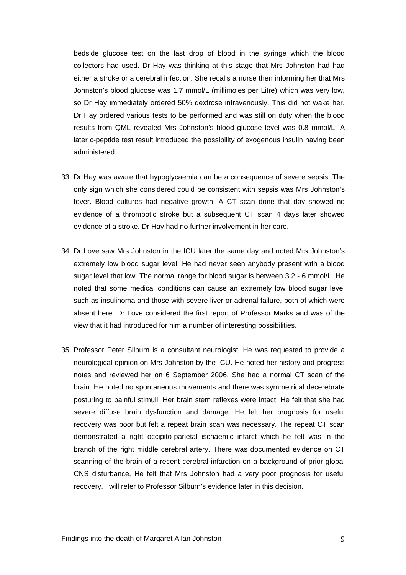bedside glucose test on the last drop of blood in the syringe which the blood collectors had used. Dr Hay was thinking at this stage that Mrs Johnston had had either a stroke or a cerebral infection. She recalls a nurse then informing her that Mrs Johnston's blood glucose was 1.7 mmol/L (millimoles per Litre) which was very low, so Dr Hay immediately ordered 50% dextrose intravenously. This did not wake her. Dr Hay ordered various tests to be performed and was still on duty when the blood results from QML revealed Mrs Johnston's blood glucose level was 0.8 mmol/L. A later c-peptide test result introduced the possibility of exogenous insulin having been administered.

- 33. Dr Hay was aware that hypoglycaemia can be a consequence of severe sepsis. The only sign which she considered could be consistent with sepsis was Mrs Johnston's fever. Blood cultures had negative growth. A CT scan done that day showed no evidence of a thrombotic stroke but a subsequent CT scan 4 days later showed evidence of a stroke. Dr Hay had no further involvement in her care.
- 34. Dr Love saw Mrs Johnston in the ICU later the same day and noted Mrs Johnston's extremely low blood sugar level. He had never seen anybody present with a blood sugar level that low. The normal range for blood sugar is between 3.2 - 6 mmol/L. He noted that some medical conditions can cause an extremely low blood sugar level such as insulinoma and those with severe liver or adrenal failure, both of which were absent here. Dr Love considered the first report of Professor Marks and was of the view that it had introduced for him a number of interesting possibilities.
- 35. Professor Peter Silburn is a consultant neurologist. He was requested to provide a neurological opinion on Mrs Johnston by the ICU. He noted her history and progress notes and reviewed her on 6 September 2006. She had a normal CT scan of the brain. He noted no spontaneous movements and there was symmetrical decerebrate posturing to painful stimuli. Her brain stem reflexes were intact. He felt that she had severe diffuse brain dysfunction and damage. He felt her prognosis for useful recovery was poor but felt a repeat brain scan was necessary. The repeat CT scan demonstrated a right occipito-parietal ischaemic infarct which he felt was in the branch of the right middle cerebral artery. There was documented evidence on CT scanning of the brain of a recent cerebral infarction on a background of prior global CNS disturbance. He felt that Mrs Johnston had a very poor prognosis for useful recovery. I will refer to Professor Silburn's evidence later in this decision.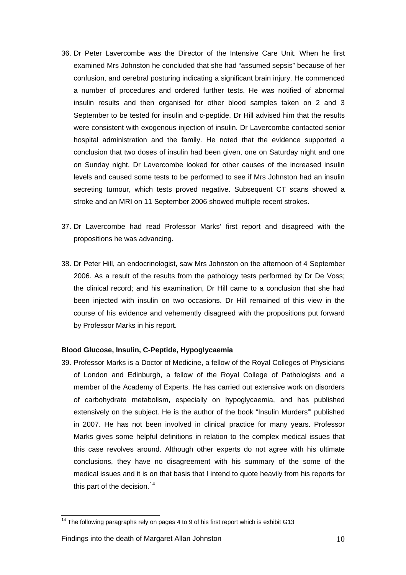- 36. Dr Peter Lavercombe was the Director of the Intensive Care Unit. When he first examined Mrs Johnston he concluded that she had "assumed sepsis" because of her confusion, and cerebral posturing indicating a significant brain injury. He commenced a number of procedures and ordered further tests. He was notified of abnormal insulin results and then organised for other blood samples taken on 2 and 3 September to be tested for insulin and c-peptide. Dr Hill advised him that the results were consistent with exogenous injection of insulin. Dr Lavercombe contacted senior hospital administration and the family. He noted that the evidence supported a conclusion that two doses of insulin had been given, one on Saturday night and one on Sunday night. Dr Lavercombe looked for other causes of the increased insulin levels and caused some tests to be performed to see if Mrs Johnston had an insulin secreting tumour, which tests proved negative. Subsequent CT scans showed a stroke and an MRI on 11 September 2006 showed multiple recent strokes.
- 37. Dr Lavercombe had read Professor Marks' first report and disagreed with the propositions he was advancing.
- 38. Dr Peter Hill, an endocrinologist, saw Mrs Johnston on the afternoon of 4 September 2006. As a result of the results from the pathology tests performed by Dr De Voss; the clinical record; and his examination, Dr Hill came to a conclusion that she had been injected with insulin on two occasions. Dr Hill remained of this view in the course of his evidence and vehemently disagreed with the propositions put forward by Professor Marks in his report.

## **Blood Glucose, Insulin, C-Peptide, Hypoglycaemia**

39. Professor Marks is a Doctor of Medicine, a fellow of the Royal Colleges of Physicians of London and Edinburgh, a fellow of the Royal College of Pathologists and a member of the Academy of Experts. He has carried out extensive work on disorders of carbohydrate metabolism, especially on hypoglycaemia, and has published extensively on the subject. He is the author of the book "Insulin Murders"' published in 2007. He has not been involved in clinical practice for many years. Professor Marks gives some helpful definitions in relation to the complex medical issues that this case revolves around. Although other experts do not agree with his ultimate conclusions, they have no disagreement with his summary of the some of the medical issues and it is on that basis that I intend to quote heavily from his reports for this part of the decision. $14$ 

<span id="page-10-0"></span> $14$  The following paragraphs rely on pages 4 to 9 of his first report which is exhibit G13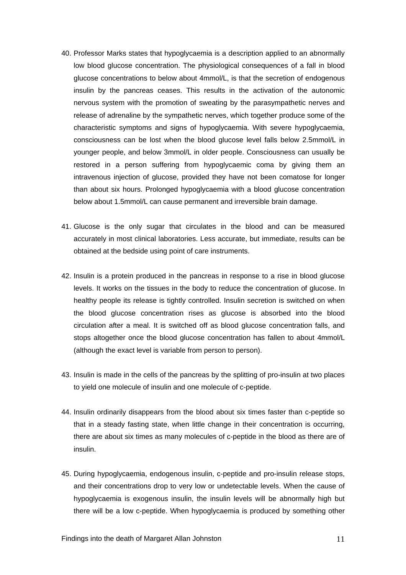- 40. Professor Marks states that hypoglycaemia is a description applied to an abnormally low blood glucose concentration. The physiological consequences of a fall in blood glucose concentrations to below about 4mmol/L, is that the secretion of endogenous insulin by the pancreas ceases. This results in the activation of the autonomic nervous system with the promotion of sweating by the parasympathetic nerves and release of adrenaline by the sympathetic nerves, which together produce some of the characteristic symptoms and signs of hypoglycaemia. With severe hypoglycaemia, consciousness can be lost when the blood glucose level falls below 2.5mmol/L in younger people, and below 3mmol/L in older people. Consciousness can usually be restored in a person suffering from hypoglycaemic coma by giving them an intravenous injection of glucose, provided they have not been comatose for longer than about six hours. Prolonged hypoglycaemia with a blood glucose concentration below about 1.5mmol/L can cause permanent and irreversible brain damage.
- 41. Glucose is the only sugar that circulates in the blood and can be measured accurately in most clinical laboratories. Less accurate, but immediate, results can be obtained at the bedside using point of care instruments.
- 42. Insulin is a protein produced in the pancreas in response to a rise in blood glucose levels. It works on the tissues in the body to reduce the concentration of glucose. In healthy people its release is tightly controlled. Insulin secretion is switched on when the blood glucose concentration rises as glucose is absorbed into the blood circulation after a meal. It is switched off as blood glucose concentration falls, and stops altogether once the blood glucose concentration has fallen to about 4mmol/L (although the exact level is variable from person to person).
- 43. Insulin is made in the cells of the pancreas by the splitting of pro-insulin at two places to yield one molecule of insulin and one molecule of c-peptide.
- 44. Insulin ordinarily disappears from the blood about six times faster than c-peptide so that in a steady fasting state, when little change in their concentration is occurring, there are about six times as many molecules of c-peptide in the blood as there are of insulin.
- 45. During hypoglycaemia, endogenous insulin, c-peptide and pro-insulin release stops, and their concentrations drop to very low or undetectable levels. When the cause of hypoglycaemia is exogenous insulin, the insulin levels will be abnormally high but there will be a low c-peptide. When hypoglycaemia is produced by something other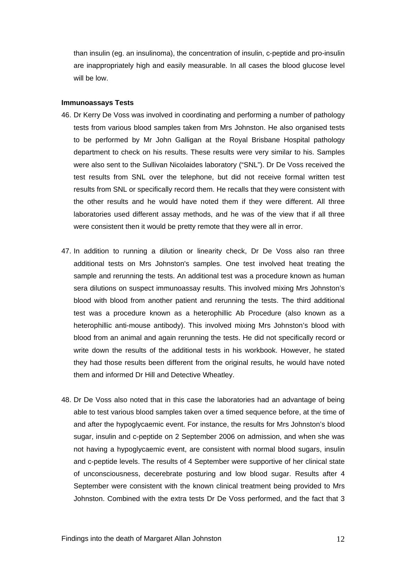than insulin (eg. an insulinoma), the concentration of insulin, c-peptide and pro-insulin are inappropriately high and easily measurable. In all cases the blood glucose level will be low.

#### **Immunoassays Tests**

- 46. Dr Kerry De Voss was involved in coordinating and performing a number of pathology tests from various blood samples taken from Mrs Johnston. He also organised tests to be performed by Mr John Galligan at the Royal Brisbane Hospital pathology department to check on his results. These results were very similar to his. Samples were also sent to the Sullivan Nicolaides laboratory ("SNL"). Dr De Voss received the test results from SNL over the telephone, but did not receive formal written test results from SNL or specifically record them. He recalls that they were consistent with the other results and he would have noted them if they were different. All three laboratories used different assay methods, and he was of the view that if all three were consistent then it would be pretty remote that they were all in error.
- 47. In addition to running a dilution or linearity check, Dr De Voss also ran three additional tests on Mrs Johnston's samples. One test involved heat treating the sample and rerunning the tests. An additional test was a procedure known as human sera dilutions on suspect immunoassay results. This involved mixing Mrs Johnston's blood with blood from another patient and rerunning the tests. The third additional test was a procedure known as a heterophillic Ab Procedure (also known as a heterophillic anti-mouse antibody). This involved mixing Mrs Johnston's blood with blood from an animal and again rerunning the tests. He did not specifically record or write down the results of the additional tests in his workbook. However, he stated they had those results been different from the original results, he would have noted them and informed Dr Hill and Detective Wheatley.
- 48. Dr De Voss also noted that in this case the laboratories had an advantage of being able to test various blood samples taken over a timed sequence before, at the time of and after the hypoglycaemic event. For instance, the results for Mrs Johnston's blood sugar, insulin and c-peptide on 2 September 2006 on admission, and when she was not having a hypoglycaemic event, are consistent with normal blood sugars, insulin and c-peptide levels. The results of 4 September were supportive of her clinical state of unconsciousness, decerebrate posturing and low blood sugar. Results after 4 September were consistent with the known clinical treatment being provided to Mrs Johnston. Combined with the extra tests Dr De Voss performed, and the fact that 3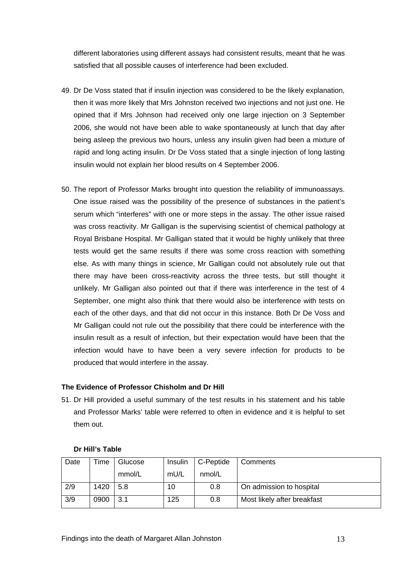different laboratories using different assays had consistent results, meant that he was satisfied that all possible causes of interference had been excluded.

- 49. Dr De Voss stated that if insulin injection was considered to be the likely explanation, then it was more likely that Mrs Johnston received two injections and not just one. He opined that if Mrs Johnson had received only one large injection on 3 September 2006, she would not have been able to wake spontaneously at lunch that day after being asleep the previous two hours, unless any insulin given had been a mixture of rapid and long acting insulin. Dr De Voss stated that a single injection of long lasting insulin would not explain her blood results on 4 September 2006.
- 50. The report of Professor Marks brought into question the reliability of immunoassays. One issue raised was the possibility of the presence of substances in the patient's serum which "interferes" with one or more steps in the assay. The other issue raised was cross reactivity. Mr Galligan is the supervising scientist of chemical pathology at Royal Brisbane Hospital. Mr Galligan stated that it would be highly unlikely that three tests would get the same results if there was some cross reaction with something else. As with many things in science, Mr Galligan could not absolutely rule out that there may have been cross-reactivity across the three tests, but still thought it unlikely. Mr Galligan also pointed out that if there was interference in the test of 4 September, one might also think that there would also be interference with tests on each of the other days, and that did not occur in this instance. Both Dr De Voss and Mr Galligan could not rule out the possibility that there could be interference with the insulin result as a result of infection, but their expectation would have been that the infection would have to have been a very severe infection for products to be produced that would interfere in the assay.

## **The Evidence of Professor Chisholm and Dr Hill**

51. Dr Hill provided a useful summary of the test results in his statement and his table and Professor Marks' table were referred to often in evidence and it is helpful to set them out.

| Date | <b>Time</b> | Glucose | Insulin | C-Peptide | Comments                    |
|------|-------------|---------|---------|-----------|-----------------------------|
|      |             | mmol/L  | mU/L    | nmol/L    |                             |
| 2/9  | 1420        | 5.8     | 10      | 0.8       | On admission to hospital    |
| 3/9  | 0900        | 3.1     | 125     | 0.8       | Most likely after breakfast |

## **Dr Hill's Table**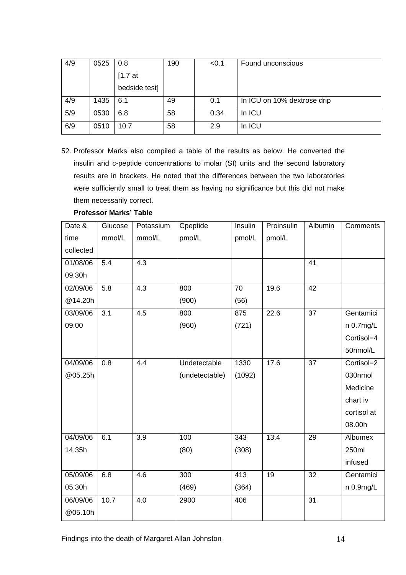| 4/9 | 0525 | 0.8           | 190 | < 0.1 | Found unconscious           |
|-----|------|---------------|-----|-------|-----------------------------|
|     |      | [1.7at]       |     |       |                             |
|     |      | bedside test] |     |       |                             |
| 4/9 | 1435 | 6.1           | 49  | 0.1   | In ICU on 10% dextrose drip |
| 5/9 | 0530 | 6.8           | 58  | 0.34  | In ICU                      |
| 6/9 | 0510 | 10.7          | 58  | 2.9   | In ICU                      |

52. Professor Marks also compiled a table of the results as below. He converted the insulin and c-peptide concentrations to molar (SI) units and the second laboratory results are in brackets. He noted that the differences between the two laboratories were sufficiently small to treat them as having no significance but this did not make them necessarily correct.

| Date &    | Glucose          | Potassium        | Cpeptide       | Insulin         | Proinsulin | Albumin         | Comments       |
|-----------|------------------|------------------|----------------|-----------------|------------|-----------------|----------------|
| time      | mmol/L           | mmol/L           | pmol/L         | pmol/L          | pmol/L     |                 |                |
| collected |                  |                  |                |                 |            |                 |                |
| 01/08/06  | 5.4              | $\overline{4.3}$ |                |                 |            | $\overline{41}$ |                |
| 09.30h    |                  |                  |                |                 |            |                 |                |
| 02/09/06  | 5.8              | 4.3              | 800            | 70              | 19.6       | 42              |                |
| @14.20h   |                  |                  | (900)          | (56)            |            |                 |                |
| 03/09/06  | $\overline{3.1}$ | 4.5              | 800            | 875             | 22.6       | $\overline{37}$ | Gentamici      |
| 09.00     |                  |                  | (960)          | (721)           |            |                 | $n$ 0.7 $mg/L$ |
|           |                  |                  |                |                 |            |                 | Cortisol=4     |
|           |                  |                  |                |                 |            |                 | 50nmol/L       |
| 04/09/06  | 0.8              | 4.4              | Undetectable   | 1330            | 17.6       | 37              | Cortisol=2     |
| @05.25h   |                  |                  | (undetectable) | (1092)          |            |                 | 030nmol        |
|           |                  |                  |                |                 |            |                 | Medicine       |
|           |                  |                  |                |                 |            |                 | chart iv       |
|           |                  |                  |                |                 |            |                 | cortisol at    |
|           |                  |                  |                |                 |            |                 | 08.00h         |
| 04/09/06  | 6.1              | 3.9              | 100            | $\frac{1}{343}$ | 13.4       | 29              | Albumex        |
| 14.35h    |                  |                  | (80)           | (308)           |            |                 | 250ml          |
|           |                  |                  |                |                 |            |                 | infused        |
| 05/09/06  | 6.8              | 4.6              | 300            | 413             | 19         | 32              | Gentamici      |
| 05.30h    |                  |                  | (469)          | (364)           |            |                 | n 0.9mg/L      |
| 06/09/06  | 10.7             | 4.0              | 2900           | 406             |            | 31              |                |
| @05.10h   |                  |                  |                |                 |            |                 |                |

**Professor Marks' Table**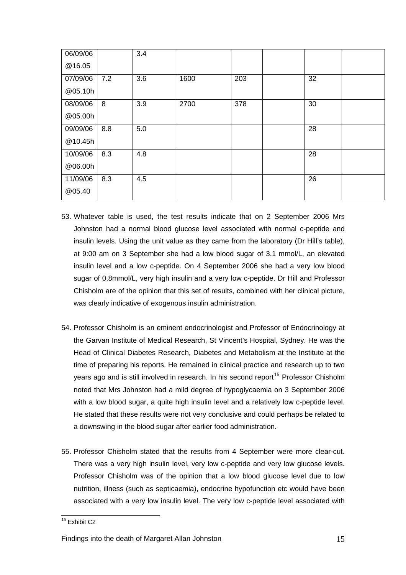| 06/09/06 |     | 3.4 |      |     |    |  |
|----------|-----|-----|------|-----|----|--|
| @16.05   |     |     |      |     |    |  |
| 07/09/06 | 7.2 | 3.6 | 1600 | 203 | 32 |  |
| @05.10h  |     |     |      |     |    |  |
| 08/09/06 | 8   | 3.9 | 2700 | 378 | 30 |  |
| @05.00h  |     |     |      |     |    |  |
| 09/09/06 | 8.8 | 5.0 |      |     | 28 |  |
| @10.45h  |     |     |      |     |    |  |
| 10/09/06 | 8.3 | 4.8 |      |     | 28 |  |
| @06.00h  |     |     |      |     |    |  |
| 11/09/06 | 8.3 | 4.5 |      |     | 26 |  |
| @05.40   |     |     |      |     |    |  |

- 53. Whatever table is used, the test results indicate that on 2 September 2006 Mrs Johnston had a normal blood glucose level associated with normal c-peptide and insulin levels. Using the unit value as they came from the laboratory (Dr Hill's table), at 9:00 am on 3 September she had a low blood sugar of 3.1 mmol/L, an elevated insulin level and a low c-peptide. On 4 September 2006 she had a very low blood sugar of 0.8mmol/L, very high insulin and a very low c-peptide. Dr Hill and Professor Chisholm are of the opinion that this set of results, combined with her clinical picture, was clearly indicative of exogenous insulin administration.
- 54. Professor Chisholm is an eminent endocrinologist and Professor of Endocrinology at the Garvan Institute of Medical Research, St Vincent's Hospital, Sydney. He was the Head of Clinical Diabetes Research, Diabetes and Metabolism at the Institute at the time of preparing his reports. He remained in clinical practice and research up to two years ago and is still involved in research. In his second report<sup>[15](#page-15-0)</sup> Professor Chisholm noted that Mrs Johnston had a mild degree of hypoglycaemia on 3 September 2006 with a low blood sugar, a quite high insulin level and a relatively low c-peptide level. He stated that these results were not very conclusive and could perhaps be related to a downswing in the blood sugar after earlier food administration.
- 55. Professor Chisholm stated that the results from 4 September were more clear-cut. There was a very high insulin level, very low c-peptide and very low glucose levels. Professor Chisholm was of the opinion that a low blood glucose level due to low nutrition, illness (such as septicaemia), endocrine hypofunction etc would have been associated with a very low insulin level. The very low c-peptide level associated with

<span id="page-15-0"></span> $\overline{\phantom{a}}$ <sup>15</sup> Exhibit C2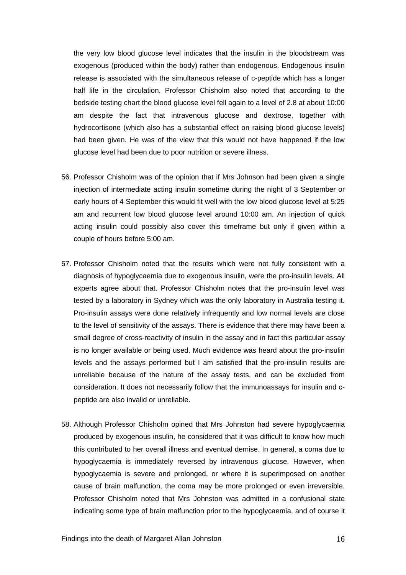the very low blood glucose level indicates that the insulin in the bloodstream was exogenous (produced within the body) rather than endogenous. Endogenous insulin release is associated with the simultaneous release of c-peptide which has a longer half life in the circulation. Professor Chisholm also noted that according to the bedside testing chart the blood glucose level fell again to a level of 2.8 at about 10:00 am despite the fact that intravenous glucose and dextrose, together with hydrocortisone (which also has a substantial effect on raising blood glucose levels) had been given. He was of the view that this would not have happened if the low glucose level had been due to poor nutrition or severe illness.

- 56. Professor Chisholm was of the opinion that if Mrs Johnson had been given a single injection of intermediate acting insulin sometime during the night of 3 September or early hours of 4 September this would fit well with the low blood glucose level at 5:25 am and recurrent low blood glucose level around 10:00 am. An injection of quick acting insulin could possibly also cover this timeframe but only if given within a couple of hours before 5:00 am.
- 57. Professor Chisholm noted that the results which were not fully consistent with a diagnosis of hypoglycaemia due to exogenous insulin, were the pro-insulin levels. All experts agree about that. Professor Chisholm notes that the pro-insulin level was tested by a laboratory in Sydney which was the only laboratory in Australia testing it. Pro-insulin assays were done relatively infrequently and low normal levels are close to the level of sensitivity of the assays. There is evidence that there may have been a small degree of cross-reactivity of insulin in the assay and in fact this particular assay is no longer available or being used. Much evidence was heard about the pro-insulin levels and the assays performed but I am satisfied that the pro-insulin results are unreliable because of the nature of the assay tests, and can be excluded from consideration. It does not necessarily follow that the immunoassays for insulin and cpeptide are also invalid or unreliable.
- 58. Although Professor Chisholm opined that Mrs Johnston had severe hypoglycaemia produced by exogenous insulin, he considered that it was difficult to know how much this contributed to her overall illness and eventual demise. In general, a coma due to hypoglycaemia is immediately reversed by intravenous glucose. However, when hypoglycaemia is severe and prolonged, or where it is superimposed on another cause of brain malfunction, the coma may be more prolonged or even irreversible. Professor Chisholm noted that Mrs Johnston was admitted in a confusional state indicating some type of brain malfunction prior to the hypoglycaemia, and of course it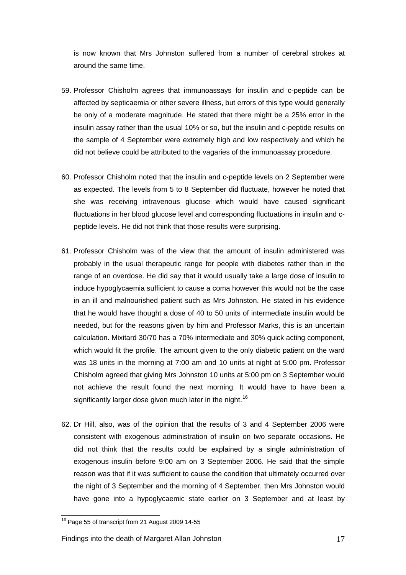is now known that Mrs Johnston suffered from a number of cerebral strokes at around the same time.

- 59. Professor Chisholm agrees that immunoassays for insulin and c-peptide can be affected by septicaemia or other severe illness, but errors of this type would generally be only of a moderate magnitude. He stated that there might be a 25% error in the insulin assay rather than the usual 10% or so, but the insulin and c-peptide results on the sample of 4 September were extremely high and low respectively and which he did not believe could be attributed to the vagaries of the immunoassay procedure.
- 60. Professor Chisholm noted that the insulin and c-peptide levels on 2 September were as expected. The levels from 5 to 8 September did fluctuate, however he noted that she was receiving intravenous glucose which would have caused significant fluctuations in her blood glucose level and corresponding fluctuations in insulin and cpeptide levels. He did not think that those results were surprising.
- 61. Professor Chisholm was of the view that the amount of insulin administered was probably in the usual therapeutic range for people with diabetes rather than in the range of an overdose. He did say that it would usually take a large dose of insulin to induce hypoglycaemia sufficient to cause a coma however this would not be the case in an ill and malnourished patient such as Mrs Johnston. He stated in his evidence that he would have thought a dose of 40 to 50 units of intermediate insulin would be needed, but for the reasons given by him and Professor Marks, this is an uncertain calculation. Mixitard 30/70 has a 70% intermediate and 30% quick acting component, which would fit the profile. The amount given to the only diabetic patient on the ward was 18 units in the morning at 7:00 am and 10 units at night at 5:00 pm. Professor Chisholm agreed that giving Mrs Johnston 10 units at 5:00 pm on 3 September would not achieve the result found the next morning. It would have to have been a significantly larger dose given much later in the night.<sup>[16](#page-17-0)</sup>
- 62. Dr Hill, also, was of the opinion that the results of 3 and 4 September 2006 were consistent with exogenous administration of insulin on two separate occasions. He did not think that the results could be explained by a single administration of exogenous insulin before 9:00 am on 3 September 2006. He said that the simple reason was that if it was sufficient to cause the condition that ultimately occurred over the night of 3 September and the morning of 4 September, then Mrs Johnston would have gone into a hypoglycaemic state earlier on 3 September and at least by

<span id="page-17-0"></span> $16$  Page 55 of transcript from 21 August 2009 14-55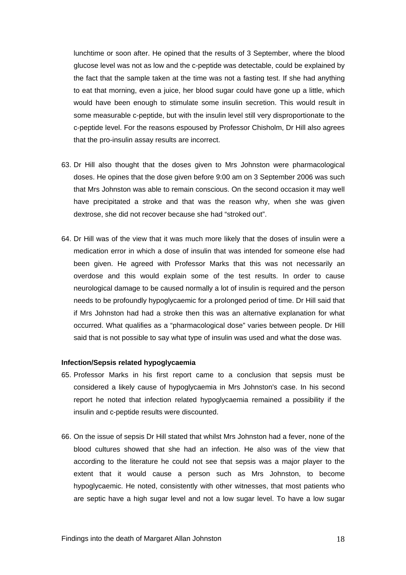lunchtime or soon after. He opined that the results of 3 September, where the blood glucose level was not as low and the c-peptide was detectable, could be explained by the fact that the sample taken at the time was not a fasting test. If she had anything to eat that morning, even a juice, her blood sugar could have gone up a little, which would have been enough to stimulate some insulin secretion. This would result in some measurable c-peptide, but with the insulin level still very disproportionate to the c-peptide level. For the reasons espoused by Professor Chisholm, Dr Hill also agrees that the pro-insulin assay results are incorrect.

- 63. Dr Hill also thought that the doses given to Mrs Johnston were pharmacological doses. He opines that the dose given before 9:00 am on 3 September 2006 was such that Mrs Johnston was able to remain conscious. On the second occasion it may well have precipitated a stroke and that was the reason why, when she was given dextrose, she did not recover because she had "stroked out".
- 64. Dr Hill was of the view that it was much more likely that the doses of insulin were a medication error in which a dose of insulin that was intended for someone else had been given. He agreed with Professor Marks that this was not necessarily an overdose and this would explain some of the test results. In order to cause neurological damage to be caused normally a lot of insulin is required and the person needs to be profoundly hypoglycaemic for a prolonged period of time. Dr Hill said that if Mrs Johnston had had a stroke then this was an alternative explanation for what occurred. What qualifies as a "pharmacological dose" varies between people. Dr Hill said that is not possible to say what type of insulin was used and what the dose was.

## **Infection/Sepsis related hypoglycaemia**

- 65. Professor Marks in his first report came to a conclusion that sepsis must be considered a likely cause of hypoglycaemia in Mrs Johnston's case. In his second report he noted that infection related hypoglycaemia remained a possibility if the insulin and c-peptide results were discounted.
- 66. On the issue of sepsis Dr Hill stated that whilst Mrs Johnston had a fever, none of the blood cultures showed that she had an infection. He also was of the view that according to the literature he could not see that sepsis was a major player to the extent that it would cause a person such as Mrs Johnston, to become hypoglycaemic. He noted, consistently with other witnesses, that most patients who are septic have a high sugar level and not a low sugar level. To have a low sugar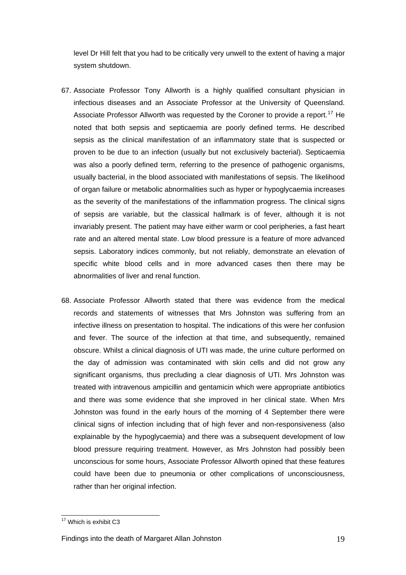level Dr Hill felt that you had to be critically very unwell to the extent of having a major system shutdown.

- 67. Associate Professor Tony Allworth is a highly qualified consultant physician in infectious diseases and an Associate Professor at the University of Queensland. Associate Professor Allworth was requested by the Coroner to provide a report.<sup>[17](#page-19-0)</sup> He noted that both sepsis and septicaemia are poorly defined terms. He described sepsis as the clinical manifestation of an inflammatory state that is suspected or proven to be due to an infection (usually but not exclusively bacterial). Septicaemia was also a poorly defined term, referring to the presence of pathogenic organisms, usually bacterial, in the blood associated with manifestations of sepsis. The likelihood of organ failure or metabolic abnormalities such as hyper or hypoglycaemia increases as the severity of the manifestations of the inflammation progress. The clinical signs of sepsis are variable, but the classical hallmark is of fever, although it is not invariably present. The patient may have either warm or cool peripheries, a fast heart rate and an altered mental state. Low blood pressure is a feature of more advanced sepsis. Laboratory indices commonly, but not reliably, demonstrate an elevation of specific white blood cells and in more advanced cases then there may be abnormalities of liver and renal function.
- 68. Associate Professor Allworth stated that there was evidence from the medical records and statements of witnesses that Mrs Johnston was suffering from an infective illness on presentation to hospital. The indications of this were her confusion and fever. The source of the infection at that time, and subsequently, remained obscure. Whilst a clinical diagnosis of UTI was made, the urine culture performed on the day of admission was contaminated with skin cells and did not grow any significant organisms, thus precluding a clear diagnosis of UTI. Mrs Johnston was treated with intravenous ampicillin and gentamicin which were appropriate antibiotics and there was some evidence that she improved in her clinical state. When Mrs Johnston was found in the early hours of the morning of 4 September there were clinical signs of infection including that of high fever and non-responsiveness (also explainable by the hypoglycaemia) and there was a subsequent development of low blood pressure requiring treatment. However, as Mrs Johnston had possibly been unconscious for some hours, Associate Professor Allworth opined that these features could have been due to pneumonia or other complications of unconsciousness, rather than her original infection.

<span id="page-19-0"></span> $\overline{\phantom{a}}$ <sup>17</sup> Which is exhibit C3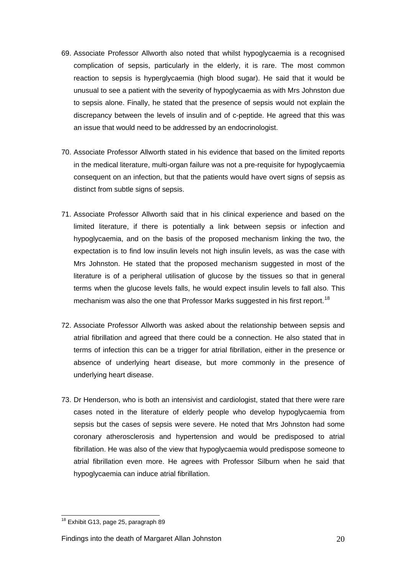- 69. Associate Professor Allworth also noted that whilst hypoglycaemia is a recognised complication of sepsis, particularly in the elderly, it is rare. The most common reaction to sepsis is hyperglycaemia (high blood sugar). He said that it would be unusual to see a patient with the severity of hypoglycaemia as with Mrs Johnston due to sepsis alone. Finally, he stated that the presence of sepsis would not explain the discrepancy between the levels of insulin and of c-peptide. He agreed that this was an issue that would need to be addressed by an endocrinologist.
- 70. Associate Professor Allworth stated in his evidence that based on the limited reports in the medical literature, multi-organ failure was not a pre-requisite for hypoglycaemia consequent on an infection, but that the patients would have overt signs of sepsis as distinct from subtle signs of sepsis.
- 71. Associate Professor Allworth said that in his clinical experience and based on the limited literature, if there is potentially a link between sepsis or infection and hypoglycaemia, and on the basis of the proposed mechanism linking the two, the expectation is to find low insulin levels not high insulin levels, as was the case with Mrs Johnston. He stated that the proposed mechanism suggested in most of the literature is of a peripheral utilisation of glucose by the tissues so that in general terms when the glucose levels falls, he would expect insulin levels to fall also. This mechanism was also the one that Professor Marks suggested in his first report.<sup>[18](#page-20-0)</sup>
- 72. Associate Professor Allworth was asked about the relationship between sepsis and atrial fibrillation and agreed that there could be a connection. He also stated that in terms of infection this can be a trigger for atrial fibrillation, either in the presence or absence of underlying heart disease, but more commonly in the presence of underlying heart disease.
- 73. Dr Henderson, who is both an intensivist and cardiologist, stated that there were rare cases noted in the literature of elderly people who develop hypoglycaemia from sepsis but the cases of sepsis were severe. He noted that Mrs Johnston had some coronary atherosclerosis and hypertension and would be predisposed to atrial fibrillation. He was also of the view that hypoglycaemia would predispose someone to atrial fibrillation even more. He agrees with Professor Silburn when he said that hypoglycaemia can induce atrial fibrillation.

<span id="page-20-0"></span><sup>&</sup>lt;sup>18</sup> Exhibit G13, page 25, paragraph 89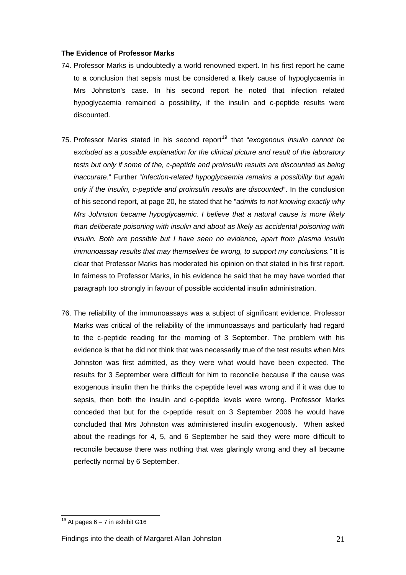### **The Evidence of Professor Marks**

- 74. Professor Marks is undoubtedly a world renowned expert. In his first report he came to a conclusion that sepsis must be considered a likely cause of hypoglycaemia in Mrs Johnston's case. In his second report he noted that infection related hypoglycaemia remained a possibility, if the insulin and c-peptide results were discounted.
- 75. Professor Marks stated in his second report<sup>[19](#page-21-0)</sup> that "*exogenous insulin cannot be excluded as a possible explanation for the clinical picture and result of the laboratory tests but only if some of the, c-peptide and proinsulin results are discounted as being inaccurate*." Further "*infection-related hypoglycaemia remains a possibility but again only if the insulin, c-peptide and proinsulin results are discounted*". In the conclusion of his second report, at page 20, he stated that he "*admits to not knowing exactly why Mrs Johnston became hypoglycaemic. I believe that a natural cause is more likely than deliberate poisoning with insulin and about as likely as accidental poisoning with insulin. Both are possible but I have seen no evidence, apart from plasma insulin immunoassay results that may themselves be wrong, to support my conclusions."* It is clear that Professor Marks has moderated his opinion on that stated in his first report. In fairness to Professor Marks, in his evidence he said that he may have worded that paragraph too strongly in favour of possible accidental insulin administration.
- 76. The reliability of the immunoassays was a subject of significant evidence. Professor Marks was critical of the reliability of the immunoassays and particularly had regard to the c-peptide reading for the morning of 3 September. The problem with his evidence is that he did not think that was necessarily true of the test results when Mrs Johnston was first admitted, as they were what would have been expected. The results for 3 September were difficult for him to reconcile because if the cause was exogenous insulin then he thinks the c-peptide level was wrong and if it was due to sepsis, then both the insulin and c-peptide levels were wrong. Professor Marks conceded that but for the c-peptide result on 3 September 2006 he would have concluded that Mrs Johnston was administered insulin exogenously. When asked about the readings for 4, 5, and 6 September he said they were more difficult to reconcile because there was nothing that was glaringly wrong and they all became perfectly normal by 6 September.

<span id="page-21-0"></span> $\overline{\phantom{a}}$  $19$  At pages 6 – 7 in exhibit G16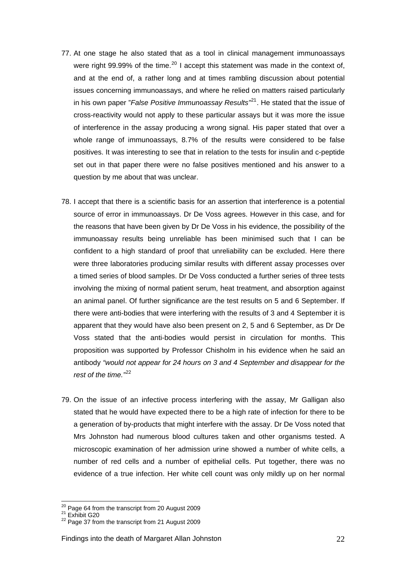- 77. At one stage he also stated that as a tool in clinical management immunoassays were right 99.99% of the time.<sup>[20](#page-22-0)</sup> I accept this statement was made in the context of, and at the end of, a rather long and at times rambling discussion about potential issues concerning immunoassays, and where he relied on matters raised particularly in his own paper "*False Positive Immunoassay Results"*[21](#page-22-1). He stated that the issue of cross-reactivity would not apply to these particular assays but it was more the issue of interference in the assay producing a wrong signal. His paper stated that over a whole range of immunoassays, 8.7% of the results were considered to be false positives. It was interesting to see that in relation to the tests for insulin and c-peptide set out in that paper there were no false positives mentioned and his answer to a question by me about that was unclear.
- 78. I accept that there is a scientific basis for an assertion that interference is a potential source of error in immunoassays. Dr De Voss agrees. However in this case, and for the reasons that have been given by Dr De Voss in his evidence, the possibility of the immunoassay results being unreliable has been minimised such that I can be confident to a high standard of proof that unreliability can be excluded. Here there were three laboratories producing similar results with different assay processes over a timed series of blood samples. Dr De Voss conducted a further series of three tests involving the mixing of normal patient serum, heat treatment, and absorption against an animal panel. Of further significance are the test results on 5 and 6 September. If there were anti-bodies that were interfering with the results of 3 and 4 September it is apparent that they would have also been present on 2, 5 and 6 September, as Dr De Voss stated that the anti-bodies would persist in circulation for months. This proposition was supported by Professor Chisholm in his evidence when he said an antibody *"would not appear for 24 hours on 3 and 4 September and disappear for the rest of the time."*[22](#page-22-2)
- 79. On the issue of an infective process interfering with the assay, Mr Galligan also stated that he would have expected there to be a high rate of infection for there to be a generation of by-products that might interfere with the assay. Dr De Voss noted that Mrs Johnston had numerous blood cultures taken and other organisms tested. A microscopic examination of her admission urine showed a number of white cells, a number of red cells and a number of epithelial cells. Put together, there was no evidence of a true infection. Her white cell count was only mildly up on her normal

<span id="page-22-0"></span><sup>&</sup>lt;sup>20</sup> Page 64 from the transcript from 20 August 2009<br><sup>21</sup> Exhibit G20<br><sup>22</sup> Page 37 from the transcript from 21 August 2009

<span id="page-22-1"></span>

<span id="page-22-2"></span>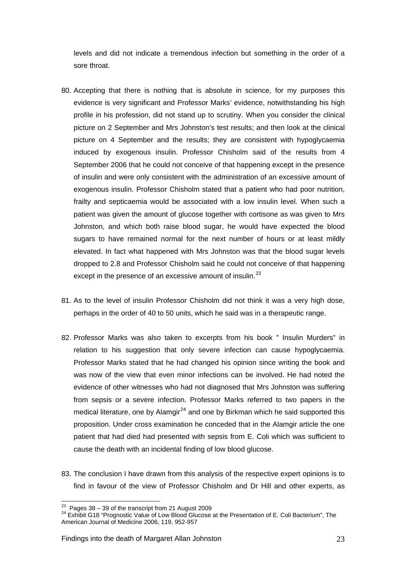levels and did not indicate a tremendous infection but something in the order of a sore throat.

- 80. Accepting that there is nothing that is absolute in science, for my purposes this evidence is very significant and Professor Marks' evidence, notwithstanding his high profile in his profession, did not stand up to scrutiny. When you consider the clinical picture on 2 September and Mrs Johnston's test results; and then look at the clinical picture on 4 September and the results; they are consistent with hypoglycaemia induced by exogenous insulin. Professor Chisholm said of the results from 4 September 2006 that he could not conceive of that happening except in the presence of insulin and were only consistent with the administration of an excessive amount of exogenous insulin. Professor Chisholm stated that a patient who had poor nutrition, frailty and septicaemia would be associated with a low insulin level. When such a patient was given the amount of glucose together with cortisone as was given to Mrs Johnston, and which both raise blood sugar, he would have expected the blood sugars to have remained normal for the next number of hours or at least mildly elevated. In fact what happened with Mrs Johnston was that the blood sugar levels dropped to 2.8 and Professor Chisholm said he could not conceive of that happening except in the presence of an excessive amount of insulin.<sup>[23](#page-23-0)</sup>
- 81. As to the level of insulin Professor Chisholm did not think it was a very high dose, perhaps in the order of 40 to 50 units, which he said was in a therapeutic range.
- 82. Professor Marks was also taken to excerpts from his book " Insulin Murders" in relation to his suggestion that only severe infection can cause hypoglycaemia. Professor Marks stated that he had changed his opinion since writing the book and was now of the view that even minor infections can be involved. He had noted the evidence of other witnesses who had not diagnosed that Mrs Johnston was suffering from sepsis or a severe infection. Professor Marks referred to two papers in the medical literature, one by Alamgir<sup>[24](#page-23-1)</sup> and one by Birkman which he said supported this proposition. Under cross examination he conceded that in the Alamgir article the one patient that had died had presented with sepsis from E. Coli which was sufficient to cause the death with an incidental finding of low blood glucose.
- 83. The conclusion I have drawn from this analysis of the respective expert opinions is to find in favour of the view of Professor Chisholm and Dr Hill and other experts, as

<span id="page-23-1"></span><span id="page-23-0"></span><sup>&</sup>lt;sup>23</sup> Pages 38 – 39 of the transcript from 21 August 2009<br><sup>24</sup> Exhibit G18 "Prognostic Value of Low Blood Glucose at the Presentation of E. Coli Bacterium", The American Journal of Medicine 2006, 119, 952-957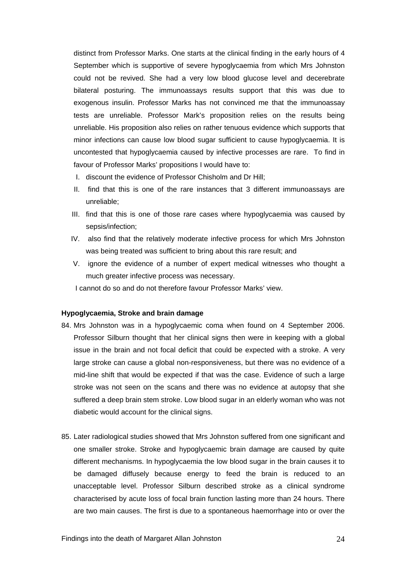distinct from Professor Marks. One starts at the clinical finding in the early hours of 4 September which is supportive of severe hypoglycaemia from which Mrs Johnston could not be revived. She had a very low blood glucose level and decerebrate bilateral posturing. The immunoassays results support that this was due to exogenous insulin. Professor Marks has not convinced me that the immunoassay tests are unreliable. Professor Mark's proposition relies on the results being unreliable. His proposition also relies on rather tenuous evidence which supports that minor infections can cause low blood sugar sufficient to cause hypoglycaemia. It is uncontested that hypoglycaemia caused by infective processes are rare. To find in favour of Professor Marks' propositions I would have to:

- I. discount the evidence of Professor Chisholm and Dr Hill;
- II. find that this is one of the rare instances that 3 different immunoassays are unreliable;
- III. find that this is one of those rare cases where hypoglycaemia was caused by sepsis/infection;
- IV. also find that the relatively moderate infective process for which Mrs Johnston was being treated was sufficient to bring about this rare result; and
- V. ignore the evidence of a number of expert medical witnesses who thought a much greater infective process was necessary.

I cannot do so and do not therefore favour Professor Marks' view.

#### **Hypoglycaemia, Stroke and brain damage**

- 84. Mrs Johnston was in a hypoglycaemic coma when found on 4 September 2006. Professor Silburn thought that her clinical signs then were in keeping with a global issue in the brain and not focal deficit that could be expected with a stroke. A very large stroke can cause a global non-responsiveness, but there was no evidence of a mid-line shift that would be expected if that was the case. Evidence of such a large stroke was not seen on the scans and there was no evidence at autopsy that she suffered a deep brain stem stroke. Low blood sugar in an elderly woman who was not diabetic would account for the clinical signs.
- 85. Later radiological studies showed that Mrs Johnston suffered from one significant and one smaller stroke. Stroke and hypoglycaemic brain damage are caused by quite different mechanisms. In hypoglycaemia the low blood sugar in the brain causes it to be damaged diffusely because energy to feed the brain is reduced to an unacceptable level. Professor Silburn described stroke as a clinical syndrome characterised by acute loss of focal brain function lasting more than 24 hours. There are two main causes. The first is due to a spontaneous haemorrhage into or over the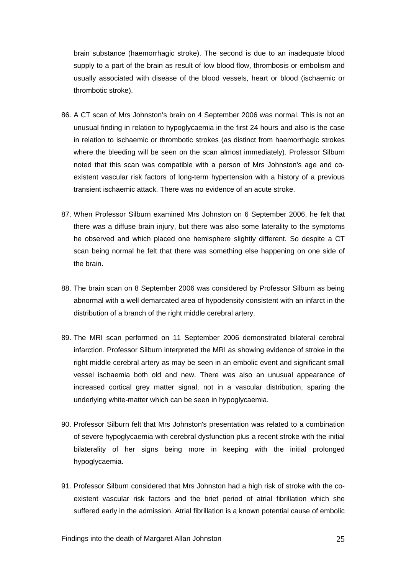brain substance (haemorrhagic stroke). The second is due to an inadequate blood supply to a part of the brain as result of low blood flow, thrombosis or embolism and usually associated with disease of the blood vessels, heart or blood (ischaemic or thrombotic stroke).

- 86. A CT scan of Mrs Johnston's brain on 4 September 2006 was normal. This is not an unusual finding in relation to hypoglycaemia in the first 24 hours and also is the case in relation to ischaemic or thrombotic strokes (as distinct from haemorrhagic strokes where the bleeding will be seen on the scan almost immediately). Professor Silburn noted that this scan was compatible with a person of Mrs Johnston's age and coexistent vascular risk factors of long-term hypertension with a history of a previous transient ischaemic attack. There was no evidence of an acute stroke.
- 87. When Professor Silburn examined Mrs Johnston on 6 September 2006, he felt that there was a diffuse brain injury, but there was also some laterality to the symptoms he observed and which placed one hemisphere slightly different. So despite a CT scan being normal he felt that there was something else happening on one side of the brain.
- 88. The brain scan on 8 September 2006 was considered by Professor Silburn as being abnormal with a well demarcated area of hypodensity consistent with an infarct in the distribution of a branch of the right middle cerebral artery.
- 89. The MRI scan performed on 11 September 2006 demonstrated bilateral cerebral infarction. Professor Silburn interpreted the MRI as showing evidence of stroke in the right middle cerebral artery as may be seen in an embolic event and significant small vessel ischaemia both old and new. There was also an unusual appearance of increased cortical grey matter signal, not in a vascular distribution, sparing the underlying white-matter which can be seen in hypoglycaemia.
- 90. Professor Silburn felt that Mrs Johnston's presentation was related to a combination of severe hypoglycaemia with cerebral dysfunction plus a recent stroke with the initial bilaterality of her signs being more in keeping with the initial prolonged hypoglycaemia.
- 91. Professor Silburn considered that Mrs Johnston had a high risk of stroke with the coexistent vascular risk factors and the brief period of atrial fibrillation which she suffered early in the admission. Atrial fibrillation is a known potential cause of embolic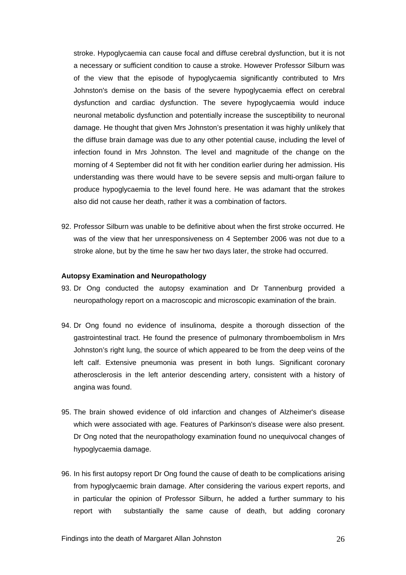stroke. Hypoglycaemia can cause focal and diffuse cerebral dysfunction, but it is not a necessary or sufficient condition to cause a stroke. However Professor Silburn was of the view that the episode of hypoglycaemia significantly contributed to Mrs Johnston's demise on the basis of the severe hypoglycaemia effect on cerebral dysfunction and cardiac dysfunction. The severe hypoglycaemia would induce neuronal metabolic dysfunction and potentially increase the susceptibility to neuronal damage. He thought that given Mrs Johnston's presentation it was highly unlikely that the diffuse brain damage was due to any other potential cause, including the level of infection found in Mrs Johnston. The level and magnitude of the change on the morning of 4 September did not fit with her condition earlier during her admission. His understanding was there would have to be severe sepsis and multi-organ failure to produce hypoglycaemia to the level found here. He was adamant that the strokes also did not cause her death, rather it was a combination of factors.

92. Professor Silburn was unable to be definitive about when the first stroke occurred. He was of the view that her unresponsiveness on 4 September 2006 was not due to a stroke alone, but by the time he saw her two days later, the stroke had occurred.

#### **Autopsy Examination and Neuropathology**

- 93. Dr Ong conducted the autopsy examination and Dr Tannenburg provided a neuropathology report on a macroscopic and microscopic examination of the brain.
- 94. Dr Ong found no evidence of insulinoma, despite a thorough dissection of the gastrointestinal tract. He found the presence of pulmonary thromboembolism in Mrs Johnston's right lung, the source of which appeared to be from the deep veins of the left calf. Extensive pneumonia was present in both lungs. Significant coronary atherosclerosis in the left anterior descending artery, consistent with a history of angina was found.
- 95. The brain showed evidence of old infarction and changes of Alzheimer's disease which were associated with age. Features of Parkinson's disease were also present. Dr Ong noted that the neuropathology examination found no unequivocal changes of hypoglycaemia damage.
- 96. In his first autopsy report Dr Ong found the cause of death to be complications arising from hypoglycaemic brain damage. After considering the various expert reports, and in particular the opinion of Professor Silburn, he added a further summary to his report with substantially the same cause of death, but adding coronary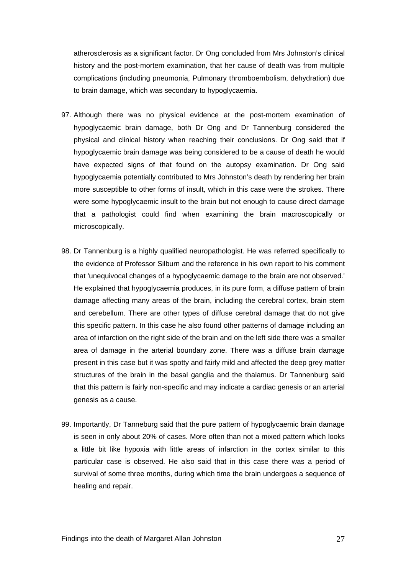atherosclerosis as a significant factor. Dr Ong concluded from Mrs Johnston's clinical history and the post-mortem examination, that her cause of death was from multiple complications (including pneumonia, Pulmonary thromboembolism, dehydration) due to brain damage, which was secondary to hypoglycaemia.

- 97. Although there was no physical evidence at the post-mortem examination of hypoglycaemic brain damage, both Dr Ong and Dr Tannenburg considered the physical and clinical history when reaching their conclusions. Dr Ong said that if hypoglycaemic brain damage was being considered to be a cause of death he would have expected signs of that found on the autopsy examination. Dr Ong said hypoglycaemia potentially contributed to Mrs Johnston's death by rendering her brain more susceptible to other forms of insult, which in this case were the strokes. There were some hypoglycaemic insult to the brain but not enough to cause direct damage that a pathologist could find when examining the brain macroscopically or microscopically.
- 98. Dr Tannenburg is a highly qualified neuropathologist. He was referred specifically to the evidence of Professor Silburn and the reference in his own report to his comment that 'unequivocal changes of a hypoglycaemic damage to the brain are not observed.' He explained that hypoglycaemia produces, in its pure form, a diffuse pattern of brain damage affecting many areas of the brain, including the cerebral cortex, brain stem and cerebellum. There are other types of diffuse cerebral damage that do not give this specific pattern. In this case he also found other patterns of damage including an area of infarction on the right side of the brain and on the left side there was a smaller area of damage in the arterial boundary zone. There was a diffuse brain damage present in this case but it was spotty and fairly mild and affected the deep grey matter structures of the brain in the basal ganglia and the thalamus. Dr Tannenburg said that this pattern is fairly non-specific and may indicate a cardiac genesis or an arterial genesis as a cause.
- 99. Importantly, Dr Tanneburg said that the pure pattern of hypoglycaemic brain damage is seen in only about 20% of cases. More often than not a mixed pattern which looks a little bit like hypoxia with little areas of infarction in the cortex similar to this particular case is observed. He also said that in this case there was a period of survival of some three months, during which time the brain undergoes a sequence of healing and repair.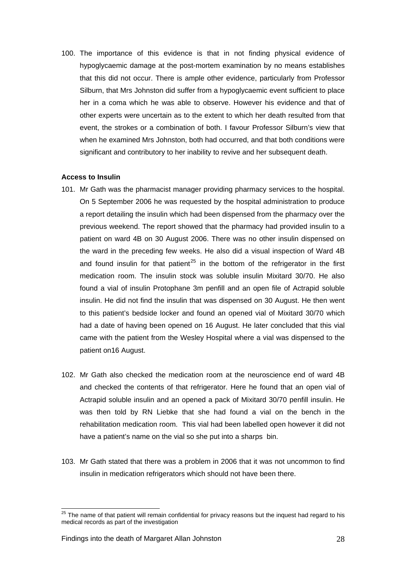100. The importance of this evidence is that in not finding physical evidence of hypoglycaemic damage at the post-mortem examination by no means establishes that this did not occur. There is ample other evidence, particularly from Professor Silburn, that Mrs Johnston did suffer from a hypoglycaemic event sufficient to place her in a coma which he was able to observe. However his evidence and that of other experts were uncertain as to the extent to which her death resulted from that event, the strokes or a combination of both. I favour Professor Silburn's view that when he examined Mrs Johnston, both had occurred, and that both conditions were significant and contributory to her inability to revive and her subsequent death.

## **Access to Insulin**

- 101. Mr Gath was the pharmacist manager providing pharmacy services to the hospital. On 5 September 2006 he was requested by the hospital administration to produce a report detailing the insulin which had been dispensed from the pharmacy over the previous weekend. The report showed that the pharmacy had provided insulin to a patient on ward 4B on 30 August 2006. There was no other insulin dispensed on the ward in the preceding few weeks. He also did a visual inspection of Ward 4B and found insulin for that patient<sup>[25](#page-28-0)</sup> in the bottom of the refrigerator in the first medication room. The insulin stock was soluble insulin Mixitard 30/70. He also found a vial of insulin Protophane 3m penfill and an open file of Actrapid soluble insulin. He did not find the insulin that was dispensed on 30 August. He then went to this patient's bedside locker and found an opened vial of Mixitard 30/70 which had a date of having been opened on 16 August. He later concluded that this vial came with the patient from the Wesley Hospital where a vial was dispensed to the patient on16 August.
- 102. Mr Gath also checked the medication room at the neuroscience end of ward 4B and checked the contents of that refrigerator. Here he found that an open vial of Actrapid soluble insulin and an opened a pack of Mixitard 30/70 penfill insulin. He was then told by RN Liebke that she had found a vial on the bench in the rehabilitation medication room. This vial had been labelled open however it did not have a patient's name on the vial so she put into a sharps bin.
- 103. Mr Gath stated that there was a problem in 2006 that it was not uncommon to find insulin in medication refrigerators which should not have been there.

 $\overline{a}$ 

<span id="page-28-0"></span> $^{25}$  The name of that patient will remain confidential for privacy reasons but the inquest had regard to his medical records as part of the investigation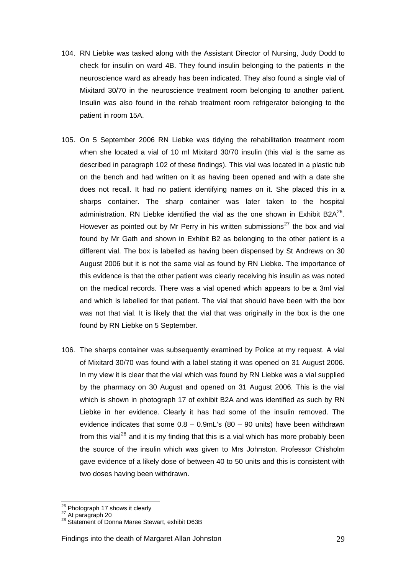- 104. RN Liebke was tasked along with the Assistant Director of Nursing, Judy Dodd to check for insulin on ward 4B. They found insulin belonging to the patients in the neuroscience ward as already has been indicated. They also found a single vial of Mixitard 30/70 in the neuroscience treatment room belonging to another patient. Insulin was also found in the rehab treatment room refrigerator belonging to the patient in room 15A.
- 105. On 5 September 2006 RN Liebke was tidying the rehabilitation treatment room when she located a vial of 10 ml Mixitard 30/70 insulin (this vial is the same as described in paragraph 102 of these findings). This vial was located in a plastic tub on the bench and had written on it as having been opened and with a date she does not recall. It had no patient identifying names on it. She placed this in a sharps container. The sharp container was later taken to the hospital administration. RN Liebke identified the vial as the one shown in Exhibit B2A $^{26}$  $^{26}$  $^{26}$ . However as pointed out by Mr Perry in his written submissions<sup>[27](#page-29-1)</sup> the box and vial found by Mr Gath and shown in Exhibit B2 as belonging to the other patient is a different vial. The box is labelled as having been dispensed by St Andrews on 30 August 2006 but it is not the same vial as found by RN Liebke. The importance of this evidence is that the other patient was clearly receiving his insulin as was noted on the medical records. There was a vial opened which appears to be a 3ml vial and which is labelled for that patient. The vial that should have been with the box was not that vial. It is likely that the vial that was originally in the box is the one found by RN Liebke on 5 September.
- 106. The sharps container was subsequently examined by Police at my request. A vial of Mixitard 30/70 was found with a label stating it was opened on 31 August 2006. In my view it is clear that the vial which was found by RN Liebke was a vial supplied by the pharmacy on 30 August and opened on 31 August 2006. This is the vial which is shown in photograph 17 of exhibit B2A and was identified as such by RN Liebke in her evidence. Clearly it has had some of the insulin removed. The evidence indicates that some  $0.8 - 0.9$ mL's  $(80 - 90)$  units) have been withdrawn from this vial<sup>[28](#page-29-2)</sup> and it is my finding that this is a vial which has more probably been the source of the insulin which was given to Mrs Johnston. Professor Chisholm gave evidence of a likely dose of between 40 to 50 units and this is consistent with two doses having been withdrawn.

<span id="page-29-2"></span><span id="page-29-1"></span>

<span id="page-29-0"></span><sup>&</sup>lt;sup>26</sup> Photograph 17 shows it clearly<br><sup>27</sup> At paragraph 20<br><sup>28</sup> Statement of Donna Maree Stewart, exhibit D63B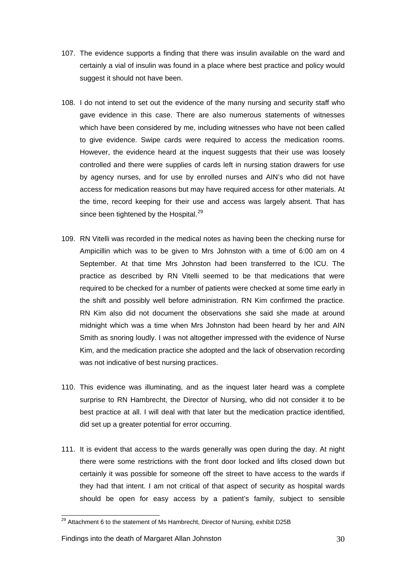- 107. The evidence supports a finding that there was insulin available on the ward and certainly a vial of insulin was found in a place where best practice and policy would suggest it should not have been.
- 108. I do not intend to set out the evidence of the many nursing and security staff who gave evidence in this case. There are also numerous statements of witnesses which have been considered by me, including witnesses who have not been called to give evidence. Swipe cards were required to access the medication rooms. However, the evidence heard at the inquest suggests that their use was loosely controlled and there were supplies of cards left in nursing station drawers for use by agency nurses, and for use by enrolled nurses and AIN's who did not have access for medication reasons but may have required access for other materials. At the time, record keeping for their use and access was largely absent. That has since been tightened by the Hospital.<sup>[29](#page-30-0)</sup>
- 109. RN Vitelli was recorded in the medical notes as having been the checking nurse for Ampicillin which was to be given to Mrs Johnston with a time of 6:00 am on 4 September. At that time Mrs Johnston had been transferred to the ICU. The practice as described by RN Vitelli seemed to be that medications that were required to be checked for a number of patients were checked at some time early in the shift and possibly well before administration. RN Kim confirmed the practice. RN Kim also did not document the observations she said she made at around midnight which was a time when Mrs Johnston had been heard by her and AIN Smith as snoring loudly. I was not altogether impressed with the evidence of Nurse Kim, and the medication practice she adopted and the lack of observation recording was not indicative of best nursing practices.
- 110. This evidence was illuminating, and as the inquest later heard was a complete surprise to RN Hambrecht, the Director of Nursing, who did not consider it to be best practice at all. I will deal with that later but the medication practice identified, did set up a greater potential for error occurring.
- 111. It is evident that access to the wards generally was open during the day. At night there were some restrictions with the front door locked and lifts closed down but certainly it was possible for someone off the street to have access to the wards if they had that intent. I am not critical of that aspect of security as hospital wards should be open for easy access by a patient's family, subject to sensible

<span id="page-30-0"></span> $^{29}$  Attachment 6 to the statement of Ms Hambrecht, Director of Nursing, exhibit D25B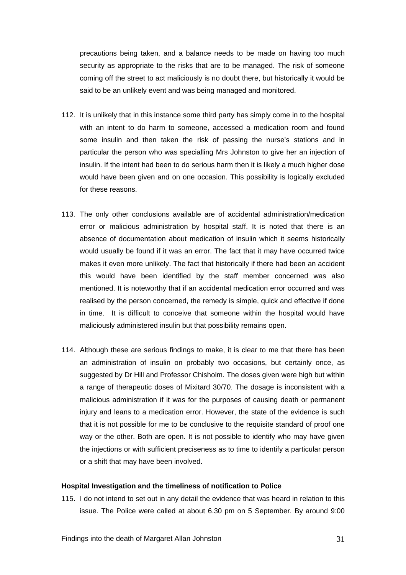precautions being taken, and a balance needs to be made on having too much security as appropriate to the risks that are to be managed. The risk of someone coming off the street to act maliciously is no doubt there, but historically it would be said to be an unlikely event and was being managed and monitored.

- 112. It is unlikely that in this instance some third party has simply come in to the hospital with an intent to do harm to someone, accessed a medication room and found some insulin and then taken the risk of passing the nurse's stations and in particular the person who was specialling Mrs Johnston to give her an injection of insulin. If the intent had been to do serious harm then it is likely a much higher dose would have been given and on one occasion. This possibility is logically excluded for these reasons.
- 113. The only other conclusions available are of accidental administration/medication error or malicious administration by hospital staff. It is noted that there is an absence of documentation about medication of insulin which it seems historically would usually be found if it was an error. The fact that it may have occurred twice makes it even more unlikely. The fact that historically if there had been an accident this would have been identified by the staff member concerned was also mentioned. It is noteworthy that if an accidental medication error occurred and was realised by the person concerned, the remedy is simple, quick and effective if done in time. It is difficult to conceive that someone within the hospital would have maliciously administered insulin but that possibility remains open.
- 114. Although these are serious findings to make, it is clear to me that there has been an administration of insulin on probably two occasions, but certainly once, as suggested by Dr Hill and Professor Chisholm. The doses given were high but within a range of therapeutic doses of Mixitard 30/70. The dosage is inconsistent with a malicious administration if it was for the purposes of causing death or permanent injury and leans to a medication error. However, the state of the evidence is such that it is not possible for me to be conclusive to the requisite standard of proof one way or the other. Both are open. It is not possible to identify who may have given the injections or with sufficient preciseness as to time to identify a particular person or a shift that may have been involved.

#### **Hospital Investigation and the timeliness of notification to Police**

115. I do not intend to set out in any detail the evidence that was heard in relation to this issue. The Police were called at about 6.30 pm on 5 September. By around 9:00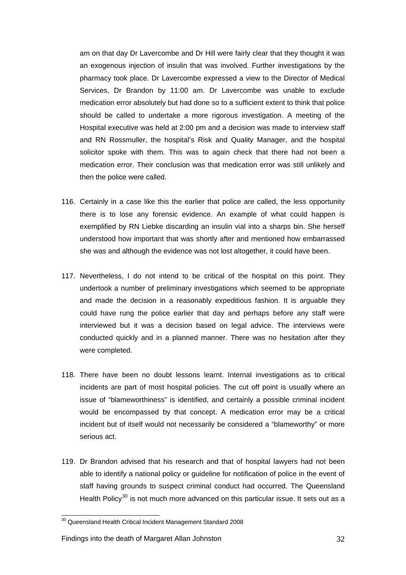am on that day Dr Lavercombe and Dr Hill were fairly clear that they thought it was an exogenous injection of insulin that was involved. Further investigations by the pharmacy took place. Dr Lavercombe expressed a view to the Director of Medical Services, Dr Brandon by 11:00 am. Dr Lavercombe was unable to exclude medication error absolutely but had done so to a sufficient extent to think that police should be called to undertake a more rigorous investigation. A meeting of the Hospital executive was held at 2:00 pm and a decision was made to interview staff and RN Rossmuller, the hospital's Risk and Quality Manager, and the hospital solicitor spoke with them. This was to again check that there had not been a medication error. Their conclusion was that medication error was still unlikely and then the police were called.

- 116. Certainly in a case like this the earlier that police are called, the less opportunity there is to lose any forensic evidence. An example of what could happen is exemplified by RN Liebke discarding an insulin vial into a sharps bin. She herself understood how important that was shortly after and mentioned how embarrassed she was and although the evidence was not lost altogether, it could have been.
- 117. Nevertheless, I do not intend to be critical of the hospital on this point. They undertook a number of preliminary investigations which seemed to be appropriate and made the decision in a reasonably expeditious fashion. It is arguable they could have rung the police earlier that day and perhaps before any staff were interviewed but it was a decision based on legal advice. The interviews were conducted quickly and in a planned manner. There was no hesitation after they were completed.
- 118. There have been no doubt lessons learnt. Internal investigations as to critical incidents are part of most hospital policies. The cut off point is usually where an issue of "blameworthiness" is identified, and certainly a possible criminal incident would be encompassed by that concept. A medication error may be a critical incident but of itself would not necessarily be considered a "blameworthy" or more serious act.
- 119. Dr Brandon advised that his research and that of hospital lawyers had not been able to identify a national policy or guideline for notification of police in the event of staff having grounds to suspect criminal conduct had occurred. The Queensland Health Policy<sup>[30](#page-32-0)</sup> is not much more advanced on this particular issue. It sets out as a

 $\overline{a}$ 

<span id="page-32-0"></span> $30$  Queensland Health Critical Incident Management Standard 2008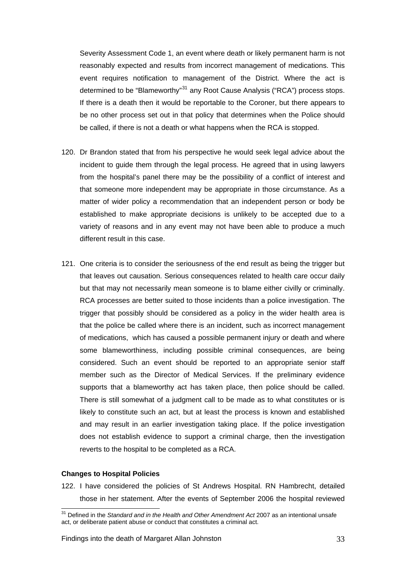Severity Assessment Code 1, an event where death or likely permanent harm is not reasonably expected and results from incorrect management of medications. This event requires notification to management of the District. Where the act is determined to be "Blameworthy"<sup>[31](#page-33-0)</sup> any Root Cause Analysis ("RCA") process stops. If there is a death then it would be reportable to the Coroner, but there appears to be no other process set out in that policy that determines when the Police should be called, if there is not a death or what happens when the RCA is stopped.

- 120. Dr Brandon stated that from his perspective he would seek legal advice about the incident to guide them through the legal process. He agreed that in using lawyers from the hospital's panel there may be the possibility of a conflict of interest and that someone more independent may be appropriate in those circumstance. As a matter of wider policy a recommendation that an independent person or body be established to make appropriate decisions is unlikely to be accepted due to a variety of reasons and in any event may not have been able to produce a much different result in this case.
- 121. One criteria is to consider the seriousness of the end result as being the trigger but that leaves out causation. Serious consequences related to health care occur daily but that may not necessarily mean someone is to blame either civilly or criminally. RCA processes are better suited to those incidents than a police investigation. The trigger that possibly should be considered as a policy in the wider health area is that the police be called where there is an incident, such as incorrect management of medications, which has caused a possible permanent injury or death and where some blameworthiness, including possible criminal consequences, are being considered. Such an event should be reported to an appropriate senior staff member such as the Director of Medical Services. If the preliminary evidence supports that a blameworthy act has taken place, then police should be called. There is still somewhat of a judgment call to be made as to what constitutes or is likely to constitute such an act, but at least the process is known and established and may result in an earlier investigation taking place. If the police investigation does not establish evidence to support a criminal charge, then the investigation reverts to the hospital to be completed as a RCA.

## **Changes to Hospital Policies**

 $\overline{a}$ 

122. I have considered the policies of St Andrews Hospital. RN Hambrecht, detailed those in her statement. After the events of September 2006 the hospital reviewed

<span id="page-33-0"></span><sup>&</sup>lt;sup>31</sup> Defined in the *Standard and in the Health and Other Amendment Act* 2007 as an intentional unsafe act, or deliberate patient abuse or conduct that constitutes a criminal act.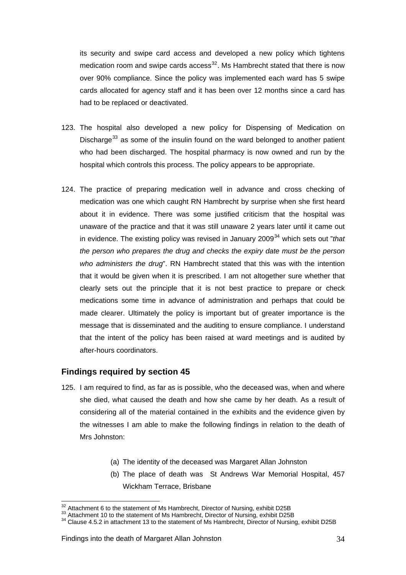its security and swipe card access and developed a new policy which tightens medication room and swipe cards access<sup>[32](#page-34-0)</sup>. Ms Hambrecht stated that there is now over 90% compliance. Since the policy was implemented each ward has 5 swipe cards allocated for agency staff and it has been over 12 months since a card has had to be replaced or deactivated.

- 123. The hospital also developed a new policy for Dispensing of Medication on Discharge<sup>[33](#page-34-1)</sup> as some of the insulin found on the ward belonged to another patient who had been discharged. The hospital pharmacy is now owned and run by the hospital which controls this process. The policy appears to be appropriate.
- 124. The practice of preparing medication well in advance and cross checking of medication was one which caught RN Hambrecht by surprise when she first heard about it in evidence. There was some justified criticism that the hospital was unaware of the practice and that it was still unaware 2 years later until it came out in evidence. The existing policy was revised in January 2009[34](#page-34-2) which sets out "*that the person who prepares the drug and checks the expiry date must be the person who administers the drug*". RN Hambrecht stated that this was with the intention that it would be given when it is prescribed. I am not altogether sure whether that clearly sets out the principle that it is not best practice to prepare or check medications some time in advance of administration and perhaps that could be made clearer. Ultimately the policy is important but of greater importance is the message that is disseminated and the auditing to ensure compliance. I understand that the intent of the policy has been raised at ward meetings and is audited by after-hours coordinators.

## **Findings required by section 45**

- 125. I am required to find, as far as is possible, who the deceased was, when and where she died, what caused the death and how she came by her death. As a result of considering all of the material contained in the exhibits and the evidence given by the witnesses I am able to make the following findings in relation to the death of Mrs Johnston:
	- (a) The identity of the deceased was Margaret Allan Johnston
	- (b) The place of death was St Andrews War Memorial Hospital, 457 Wickham Terrace, Brisbane

<sup>&</sup>lt;sup>32</sup> Attachment 6 to the statement of Ms Hambrecht, Director of Nursing, exhibit D25B

<span id="page-34-2"></span><span id="page-34-1"></span>

<span id="page-34-0"></span><sup>34&</sup>lt;br>Attachment 10 to the statement of Ms Hambrecht, Director of Nursing, exhibit D25B<br><sup>34</sup> Clause 4.5.2 in attachment 13 to the statement of Ms Hambrecht, Director of Nursing, exhibit D25B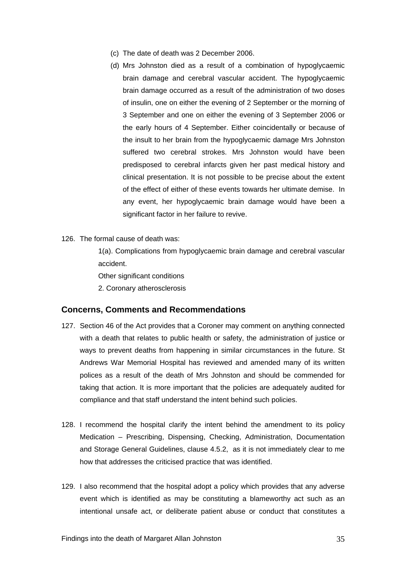- (c) The date of death was 2 December 2006.
- (d) Mrs Johnston died as a result of a combination of hypoglycaemic brain damage and cerebral vascular accident. The hypoglycaemic brain damage occurred as a result of the administration of two doses of insulin, one on either the evening of 2 September or the morning of 3 September and one on either the evening of 3 September 2006 or the early hours of 4 September. Either coincidentally or because of the insult to her brain from the hypoglycaemic damage Mrs Johnston suffered two cerebral strokes. Mrs Johnston would have been predisposed to cerebral infarcts given her past medical history and clinical presentation. It is not possible to be precise about the extent of the effect of either of these events towards her ultimate demise. In any event, her hypoglycaemic brain damage would have been a significant factor in her failure to revive.
- 126. The formal cause of death was:

 1(a). Complications from hypoglycaemic brain damage and cerebral vascular accident.

Other significant conditions

2. Coronary atherosclerosis

## **Concerns, Comments and Recommendations**

- 127. Section 46 of the Act provides that a Coroner may comment on anything connected with a death that relates to public health or safety, the administration of justice or ways to prevent deaths from happening in similar circumstances in the future. St Andrews War Memorial Hospital has reviewed and amended many of its written polices as a result of the death of Mrs Johnston and should be commended for taking that action. It is more important that the policies are adequately audited for compliance and that staff understand the intent behind such policies.
- 128. I recommend the hospital clarify the intent behind the amendment to its policy Medication – Prescribing, Dispensing, Checking, Administration, Documentation and Storage General Guidelines, clause 4.5.2, as it is not immediately clear to me how that addresses the criticised practice that was identified.
- 129. I also recommend that the hospital adopt a policy which provides that any adverse event which is identified as may be constituting a blameworthy act such as an intentional unsafe act, or deliberate patient abuse or conduct that constitutes a